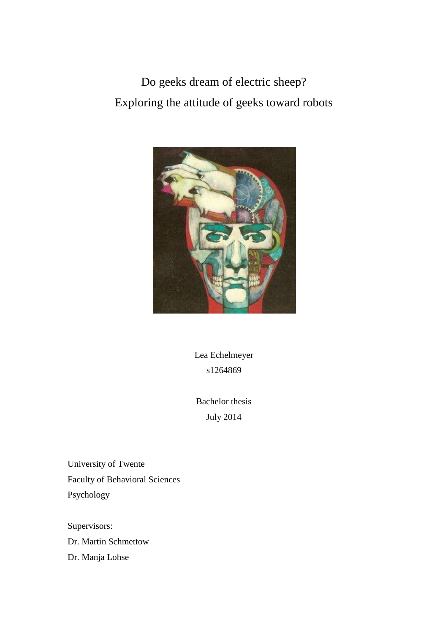Do geeks dream of electric sheep? Exploring the attitude of geeks toward robots



Lea Echelmeyer s1264869

Bachelor thesis July 2014

University of Twente Faculty of Behavioral Sciences Psychology

Supervisors: Dr. Martin Schmettow Dr. Manja Lohse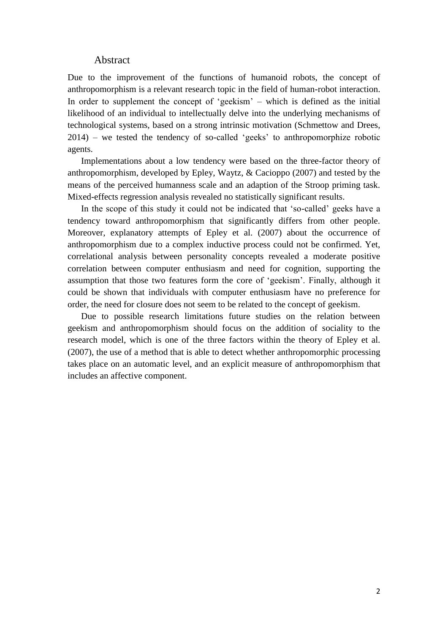### Abstract

Due to the improvement of the functions of humanoid robots, the concept of anthropomorphism is a relevant research topic in the field of human-robot interaction. In order to supplement the concept of 'geekism' – which is defined as the initial likelihood of an individual to intellectually delve into the underlying mechanisms of technological systems, based on a strong intrinsic motivation (Schmettow and Drees, 2014) – we tested the tendency of so-called 'geeks' to anthropomorphize robotic agents.

Implementations about a low tendency were based on the three-factor theory of anthropomorphism, developed by Epley, Waytz, & Cacioppo (2007) and tested by the means of the perceived humanness scale and an adaption of the Stroop priming task. Mixed-effects regression analysis revealed no statistically significant results.

In the scope of this study it could not be indicated that 'so-called' geeks have a tendency toward anthropomorphism that significantly differs from other people. Moreover, explanatory attempts of Epley et al. (2007) about the occurrence of anthropomorphism due to a complex inductive process could not be confirmed. Yet, correlational analysis between personality concepts revealed a moderate positive correlation between computer enthusiasm and need for cognition, supporting the assumption that those two features form the core of 'geekism'. Finally, although it could be shown that individuals with computer enthusiasm have no preference for order, the need for closure does not seem to be related to the concept of geekism.

Due to possible research limitations future studies on the relation between geekism and anthropomorphism should focus on the addition of sociality to the research model, which is one of the three factors within the theory of Epley et al. (2007), the use of a method that is able to detect whether anthropomorphic processing takes place on an automatic level, and an explicit measure of anthropomorphism that includes an affective component.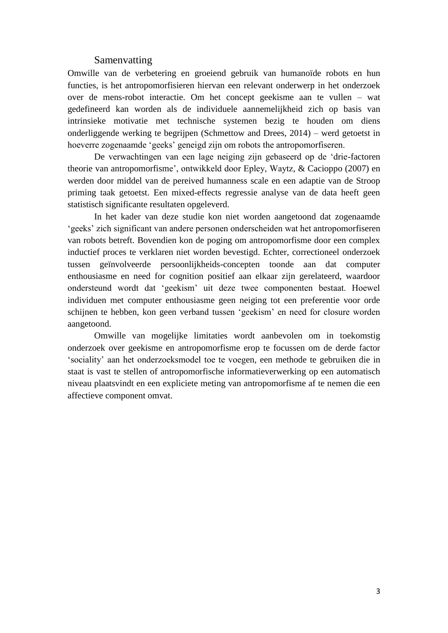### Samenvatting

Omwille van de verbetering en groeiend gebruik van humanoïde robots en hun functies, is het antropomorfisieren hiervan een relevant onderwerp in het onderzoek over de mens-robot interactie. Om het concept geekisme aan te vullen – wat gedefineerd kan worden als de individuele aannemelijkheid zich op basis van intrinsieke motivatie met technische systemen bezig te houden om diens onderliggende werking te begrijpen (Schmettow and Drees, 2014) – werd getoetst in hoeverre zogenaamde 'geeks' geneigd zijn om robots the antropomorfiseren.

De verwachtingen van een lage neiging zijn gebaseerd op de 'drie-factoren theorie van antropomorfisme', ontwikkeld door Epley, Waytz, & Cacioppo (2007) en werden door middel van de pereived humanness scale en een adaptie van de Stroop priming taak getoetst. Een mixed-effects regressie analyse van de data heeft geen statistisch significante resultaten opgeleverd.

In het kader van deze studie kon niet worden aangetoond dat zogenaamde 'geeks' zich significant van andere personen onderscheiden wat het antropomorfiseren van robots betreft. Bovendien kon de poging om antropomorfisme door een complex inductief proces te verklaren niet worden bevestigd. Echter, correctioneel onderzoek tussen geïnvolveerde persoonlijkheids-concepten toonde aan dat computer enthousiasme en need for cognition positief aan elkaar zijn gerelateerd, waardoor ondersteund wordt dat 'geekism' uit deze twee componenten bestaat. Hoewel individuen met computer enthousiasme geen neiging tot een preferentie voor orde schijnen te hebben, kon geen verband tussen 'geekism' en need for closure worden aangetoond.

Omwille van mogelijke limitaties wordt aanbevolen om in toekomstig onderzoek over geekisme en antropomorfisme erop te focussen om de derde factor 'sociality' aan het onderzoeksmodel toe te voegen, een methode te gebruiken die in staat is vast te stellen of antropomorfische informatieverwerking op een automatisch niveau plaatsvindt en een expliciete meting van antropomorfisme af te nemen die een affectieve component omvat.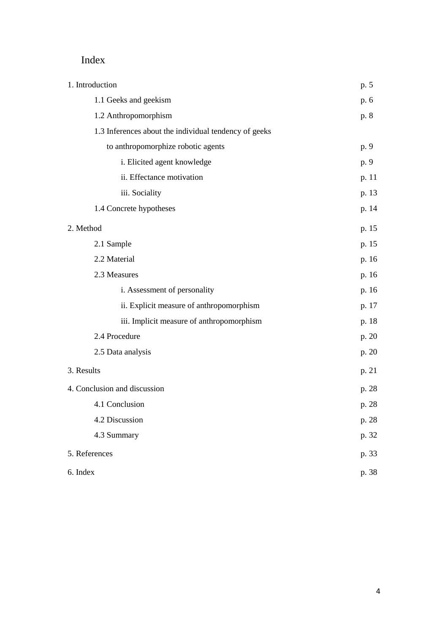# Index

| 1. Introduction                                       | p. 5  |
|-------------------------------------------------------|-------|
| 1.1 Geeks and geekism                                 | p. 6  |
| 1.2 Anthropomorphism                                  | p. 8  |
| 1.3 Inferences about the individual tendency of geeks |       |
| to anthropomorphize robotic agents                    | p. 9  |
| i. Elicited agent knowledge                           | p. 9  |
| ii. Effectance motivation                             | p. 11 |
| iii. Sociality                                        | p. 13 |
| 1.4 Concrete hypotheses                               | p. 14 |
| 2. Method                                             | p. 15 |
| 2.1 Sample                                            | p. 15 |
| 2.2 Material                                          | p. 16 |
| 2.3 Measures                                          | p. 16 |
| i. Assessment of personality                          | p. 16 |
| ii. Explicit measure of anthropomorphism              | p. 17 |
| iii. Implicit measure of anthropomorphism             | p. 18 |
| 2.4 Procedure                                         | p. 20 |
| 2.5 Data analysis                                     | p. 20 |
| 3. Results                                            | p. 21 |
| 4. Conclusion and discussion                          | p. 28 |
| 4.1 Conclusion                                        | p. 28 |
| 4.2 Discussion                                        | p. 28 |
| 4.3 Summary                                           | p. 32 |
| 5. References                                         | p. 33 |
| 6. Index                                              | p. 38 |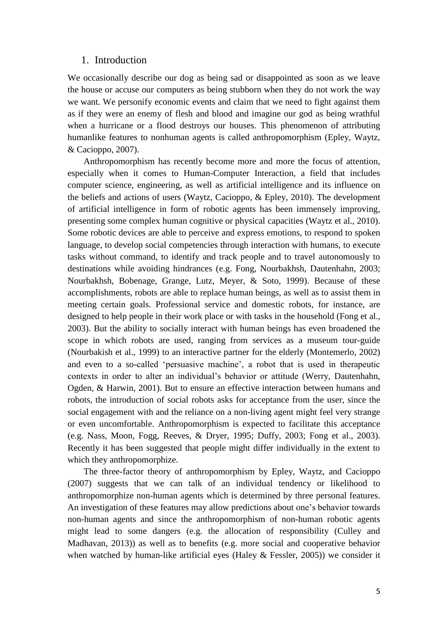### 1. Introduction

We occasionally describe our dog as being sad or disappointed as soon as we leave the house or accuse our computers as being stubborn when they do not work the way we want. We personify economic events and claim that we need to fight against them as if they were an enemy of flesh and blood and imagine our god as being wrathful when a hurricane or a flood destroys our houses. This phenomenon of attributing humanlike features to nonhuman agents is called anthropomorphism (Epley, Waytz, & Cacioppo, 2007).

Anthropomorphism has recently become more and more the focus of attention, especially when it comes to Human-Computer Interaction, a field that includes computer science, engineering, as well as artificial intelligence and its influence on the beliefs and actions of users (Waytz, Cacioppo, & Epley, 2010). The development of artificial intelligence in form of robotic agents has been immensely improving, presenting some complex human cognitive or physical capacities (Waytz et al., 2010). Some robotic devices are able to perceive and express emotions, to respond to spoken language, to develop social competencies through interaction with humans, to execute tasks without command, to identify and track people and to travel autonomously to destinations while avoiding hindrances (e.g. Fong, Nourbakhsh, Dautenhahn, 2003; Nourbakhsh, Bobenage, Grange, Lutz, Meyer, & Soto, 1999). Because of these accomplishments, robots are able to replace human beings, as well as to assist them in meeting certain goals. Professional service and domestic robots, for instance, are designed to help people in their work place or with tasks in the household (Fong et al., 2003). But the ability to socially interact with human beings has even broadened the scope in which robots are used, ranging from services as a museum tour-guide (Nourbakish et al., 1999) to an interactive partner for the elderly (Montemerlo, 2002) and even to a so-called 'persuasive machine', a robot that is used in therapeutic contexts in order to alter an individual's behavior or attitude (Werry, Dautenhahn, Ogden, & Harwin, 2001). But to ensure an effective interaction between humans and robots, the introduction of social robots asks for acceptance from the user, since the social engagement with and the reliance on a non-living agent might feel very strange or even uncomfortable. Anthropomorphism is expected to facilitate this acceptance (e.g. Nass, Moon, Fogg, Reeves, & Dryer, 1995; Duffy, 2003; Fong et al., 2003). Recently it has been suggested that people might differ individually in the extent to which they anthropomorphize.

The three-factor theory of anthropomorphism by Epley, Waytz, and Cacioppo (2007) suggests that we can talk of an individual tendency or likelihood to anthropomorphize non-human agents which is determined by three personal features. An investigation of these features may allow predictions about one's behavior towards non-human agents and since the anthropomorphism of non-human robotic agents might lead to some dangers (e.g. the allocation of responsibility (Culley and Madhavan, 2013)) as well as to benefits (e.g. more social and cooperative behavior when watched by human-like artificial eyes (Haley & Fessler, 2005)) we consider it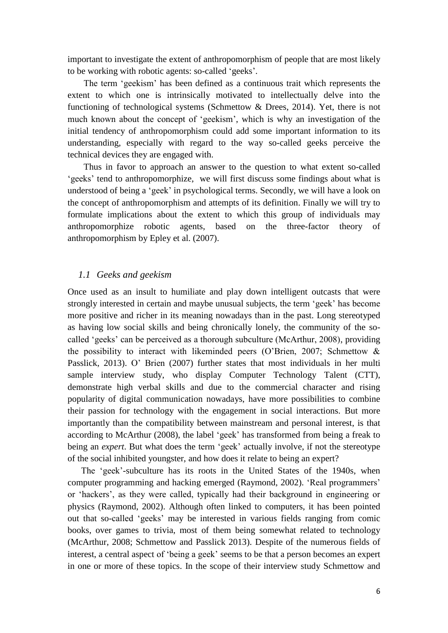important to investigate the extent of anthropomorphism of people that are most likely to be working with robotic agents: so-called 'geeks'.

The term 'geekism' has been defined as a continuous trait which represents the extent to which one is intrinsically motivated to intellectually delve into the functioning of technological systems (Schmettow & Drees, 2014). Yet, there is not much known about the concept of 'geekism', which is why an investigation of the initial tendency of anthropomorphism could add some important information to its understanding, especially with regard to the way so-called geeks perceive the technical devices they are engaged with.

Thus in favor to approach an answer to the question to what extent so-called 'geeks' tend to anthropomorphize, we will first discuss some findings about what is understood of being a 'geek' in psychological terms. Secondly, we will have a look on the concept of anthropomorphism and attempts of its definition. Finally we will try to formulate implications about the extent to which this group of individuals may anthropomorphize robotic agents, based on the three-factor theory of anthropomorphism by Epley et al. (2007).

#### *1.1 Geeks and geekism*

Once used as an insult to humiliate and play down intelligent outcasts that were strongly interested in certain and maybe unusual subjects, the term 'geek' has become more positive and richer in its meaning nowadays than in the past. Long stereotyped as having low social skills and being chronically lonely, the community of the socalled 'geeks' can be perceived as a thorough subculture (McArthur, 2008), providing the possibility to interact with likeminded peers (O'Brien, 2007; Schmettow & Passlick, 2013). O' Brien (2007) further states that most individuals in her multi sample interview study, who display Computer Technology Talent (CTT), demonstrate high verbal skills and due to the commercial character and rising popularity of digital communication nowadays, have more possibilities to combine their passion for technology with the engagement in social interactions. But more importantly than the compatibility between mainstream and personal interest, is that according to McArthur (2008), the label 'geek' has transformed from being a freak to being an *expert*. But what does the term 'geek' actually involve, if not the stereotype of the social inhibited youngster, and how does it relate to being an expert?

The 'geek'-subculture has its roots in the United States of the 1940s, when computer programming and hacking emerged (Raymond, 2002). 'Real programmers' or 'hackers', as they were called, typically had their background in engineering or physics (Raymond, 2002). Although often linked to computers, it has been pointed out that so-called 'geeks' may be interested in various fields ranging from comic books, over games to trivia, most of them being somewhat related to technology (McArthur, 2008; Schmettow and Passlick 2013). Despite of the numerous fields of interest, a central aspect of 'being a geek' seems to be that a person becomes an expert in one or more of these topics. In the scope of their interview study Schmettow and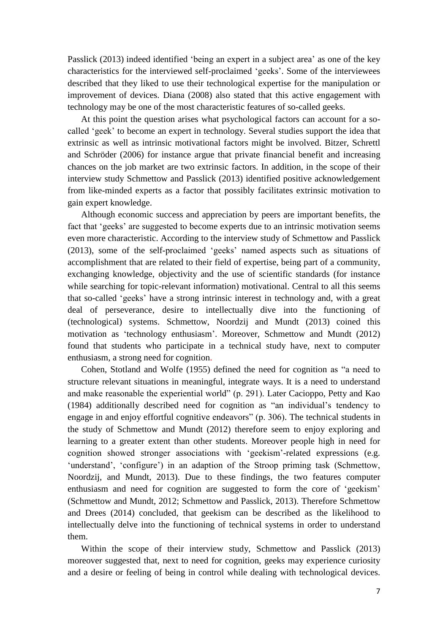Passlick (2013) indeed identified 'being an expert in a subject area' as one of the key characteristics for the interviewed self-proclaimed 'geeks'. Some of the interviewees described that they liked to use their technological expertise for the manipulation or improvement of devices. Diana (2008) also stated that this active engagement with technology may be one of the most characteristic features of so-called geeks.

At this point the question arises what psychological factors can account for a socalled 'geek' to become an expert in technology. Several studies support the idea that extrinsic as well as intrinsic motivational factors might be involved. Bitzer, Schrettl and Schröder (2006) for instance argue that private financial benefit and increasing chances on the job market are two extrinsic factors. In addition, in the scope of their interview study Schmettow and Passlick (2013) identified positive acknowledgement from like-minded experts as a factor that possibly facilitates extrinsic motivation to gain expert knowledge.

Although economic success and appreciation by peers are important benefits, the fact that 'geeks' are suggested to become experts due to an intrinsic motivation seems even more characteristic. According to the interview study of Schmettow and Passlick (2013), some of the self-proclaimed 'geeks' named aspects such as situations of accomplishment that are related to their field of expertise, being part of a community, exchanging knowledge, objectivity and the use of scientific standards (for instance while searching for topic-relevant information) motivational. Central to all this seems that so-called 'geeks' have a strong intrinsic interest in technology and, with a great deal of perseverance, desire to intellectually dive into the functioning of (technological) systems. Schmettow, Noordzij and Mundt (2013) coined this motivation as 'technology enthusiasm'. Moreover, Schmettow and Mundt (2012) found that students who participate in a technical study have, next to computer enthusiasm, a strong need for cognition.

Cohen, Stotland and Wolfe (1955) defined the need for cognition as "a need to structure relevant situations in meaningful, integrate ways. It is a need to understand and make reasonable the experiential world" (p. 291). Later Cacioppo, Petty and Kao (1984) additionally described need for cognition as "an individual's tendency to engage in and enjoy effortful cognitive endeavors" (p. 306). The technical students in the study of Schmettow and Mundt (2012) therefore seem to enjoy exploring and learning to a greater extent than other students. Moreover people high in need for cognition showed stronger associations with 'geekism'-related expressions (e.g. 'understand', 'configure') in an adaption of the Stroop priming task (Schmettow, Noordzij, and Mundt, 2013). Due to these findings, the two features computer enthusiasm and need for cognition are suggested to form the core of 'geekism' (Schmettow and Mundt, 2012; Schmettow and Passlick, 2013). Therefore Schmettow and Drees (2014) concluded, that geekism can be described as the likelihood to intellectually delve into the functioning of technical systems in order to understand them.

Within the scope of their interview study, Schmettow and Passlick (2013) moreover suggested that, next to need for cognition, geeks may experience curiosity and a desire or feeling of being in control while dealing with technological devices.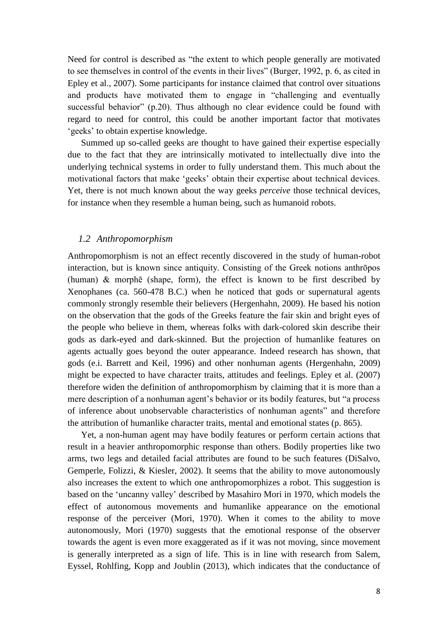Need for control is described as "the extent to which people generally are motivated to see themselves in control of the events in their lives" (Burger, 1992, p. 6, as cited in Epley et al., 2007). Some participants for instance claimed that control over situations and products have motivated them to engage in "challenging and eventually successful behavior" (p.20). Thus although no clear evidence could be found with regard to need for control, this could be another important factor that motivates 'geeks' to obtain expertise knowledge.

Summed up so-called geeks are thought to have gained their expertise especially due to the fact that they are intrinsically motivated to intellectually dive into the underlying technical systems in order to fully understand them. This much about the motivational factors that make 'geeks' obtain their expertise about technical devices. Yet, there is not much known about the way geeks *perceive* those technical devices, for instance when they resemble a human being, such as humanoid robots.

### *1.2 Anthropomorphism*

Anthropomorphism is not an effect recently discovered in the study of human-robot interaction, but is known since antiquity. Consisting of the Greek notions anthrōpos (human) & morphē (shape, form)*,* the effect is known to be first described by Xenophanes (ca. 560-478 B.C.) when he noticed that gods or supernatural agents commonly strongly resemble their believers (Hergenhahn, 2009). He based his notion on the observation that the gods of the Greeks feature the fair skin and bright eyes of the people who believe in them, whereas folks with dark-colored skin describe their gods as dark-eyed and dark-skinned. But the projection of humanlike features on agents actually goes beyond the outer appearance. Indeed research has shown, that gods (e.i. Barrett and Keil, 1996) and other nonhuman agents (Hergenhahn, 2009) might be expected to have character traits, attitudes and feelings. Epley et al. (2007) therefore widen the definition of anthropomorphism by claiming that it is more than a mere description of a nonhuman agent's behavior or its bodily features, but "a process of inference about unobservable characteristics of nonhuman agents" and therefore the attribution of humanlike character traits, mental and emotional states (p. 865).

Yet, a non-human agent may have bodily features or perform certain actions that result in a heavier anthropomorphic response than others. Bodily properties like two arms, two legs and detailed facial attributes are found to be such features (DiSalvo, Gemperle, Folizzi, & Kiesler, 2002). It seems that the ability to move autonomously also increases the extent to which one anthropomorphizes a robot. This suggestion is based on the 'uncanny valley' described by Masahiro Mori in 1970, which models the effect of autonomous movements and humanlike appearance on the emotional response of the perceiver (Mori, 1970). When it comes to the ability to move autonomously, Mori (1970) suggests that the emotional response of the observer towards the agent is even more exaggerated as if it was not moving, since movement is generally interpreted as a sign of life. This is in line with research from Salem, Eyssel, Rohlfing, Kopp and Joublin (2013), which indicates that the conductance of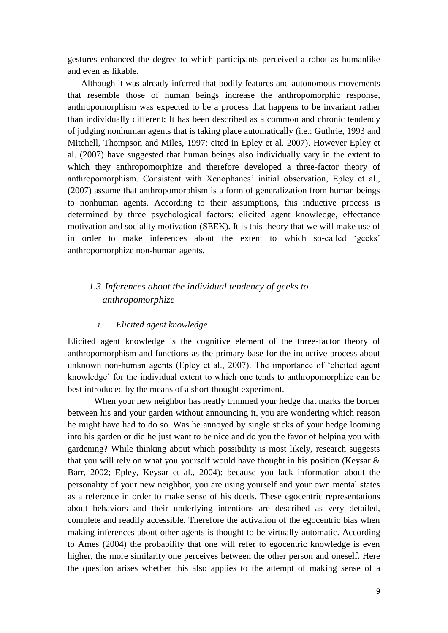gestures enhanced the degree to which participants perceived a robot as humanlike and even as likable.

Although it was already inferred that bodily features and autonomous movements that resemble those of human beings increase the anthropomorphic response, anthropomorphism was expected to be a process that happens to be invariant rather than individually different: It has been described as a common and chronic tendency of judging nonhuman agents that is taking place automatically (i.e.: Guthrie, 1993 and Mitchell, Thompson and Miles, 1997; cited in Epley et al. 2007). However Epley et al. (2007) have suggested that human beings also individually vary in the extent to which they anthropomorphize and therefore developed a three-factor theory of anthropomorphism. Consistent with Xenophanes' initial observation, Epley et al., (2007) assume that anthropomorphism is a form of generalization from human beings to nonhuman agents. According to their assumptions, this inductive process is determined by three psychological factors: elicited agent knowledge, effectance motivation and sociality motivation (SEEK). It is this theory that we will make use of in order to make inferences about the extent to which so-called 'geeks' anthropomorphize non-human agents.

## *1.3 Inferences about the individual tendency of geeks to anthropomorphize*

### *i. Elicited agent knowledge*

Elicited agent knowledge is the cognitive element of the three-factor theory of anthropomorphism and functions as the primary base for the inductive process about unknown non-human agents (Epley et al., 2007). The importance of 'elicited agent knowledge' for the individual extent to which one tends to anthropomorphize can be best introduced by the means of a short thought experiment.

When your new neighbor has neatly trimmed your hedge that marks the border between his and your garden without announcing it, you are wondering which reason he might have had to do so. Was he annoyed by single sticks of your hedge looming into his garden or did he just want to be nice and do you the favor of helping you with gardening? While thinking about which possibility is most likely, research suggests that you will rely on what you yourself would have thought in his position (Keysar & Barr, 2002; Epley, Keysar et al., 2004): because you lack information about the personality of your new neighbor, you are using yourself and your own mental states as a reference in order to make sense of his deeds. These egocentric representations about behaviors and their underlying intentions are described as very detailed, complete and readily accessible. Therefore the activation of the egocentric bias when making inferences about other agents is thought to be virtually automatic. According to Ames (2004) the probability that one will refer to egocentric knowledge is even higher, the more similarity one perceives between the other person and oneself. Here the question arises whether this also applies to the attempt of making sense of a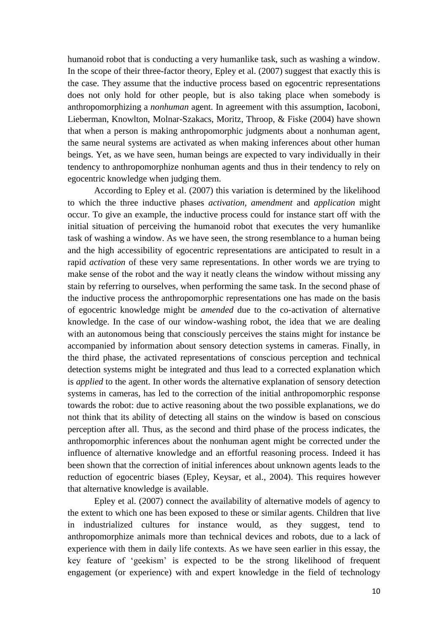humanoid robot that is conducting a very humanlike task, such as washing a window. In the scope of their three-factor theory, Epley et al. (2007) suggest that exactly this is the case. They assume that the inductive process based on egocentric representations does not only hold for other people, but is also taking place when somebody is anthropomorphizing a *nonhuman* agent. In agreement with this assumption, Iacoboni, Lieberman, Knowlton, Molnar-Szakacs, Moritz, Throop, & Fiske (2004) have shown that when a person is making anthropomorphic judgments about a nonhuman agent, the same neural systems are activated as when making inferences about other human beings. Yet, as we have seen, human beings are expected to vary individually in their tendency to anthropomorphize nonhuman agents and thus in their tendency to rely on egocentric knowledge when judging them.

According to Epley et al. (2007) this variation is determined by the likelihood to which the three inductive phases *activation*, *amendment* and *application* might occur. To give an example, the inductive process could for instance start off with the initial situation of perceiving the humanoid robot that executes the very humanlike task of washing a window. As we have seen, the strong resemblance to a human being and the high accessibility of egocentric representations are anticipated to result in a rapid *activation* of these very same representations. In other words we are trying to make sense of the robot and the way it neatly cleans the window without missing any stain by referring to ourselves, when performing the same task. In the second phase of the inductive process the anthropomorphic representations one has made on the basis of egocentric knowledge might be *amended* due to the co-activation of alternative knowledge. In the case of our window-washing robot, the idea that we are dealing with an autonomous being that consciously perceives the stains might for instance be accompanied by information about sensory detection systems in cameras. Finally, in the third phase, the activated representations of conscious perception and technical detection systems might be integrated and thus lead to a corrected explanation which is *applied* to the agent. In other words the alternative explanation of sensory detection systems in cameras, has led to the correction of the initial anthropomorphic response towards the robot: due to active reasoning about the two possible explanations, we do not think that its ability of detecting all stains on the window is based on conscious perception after all. Thus, as the second and third phase of the process indicates, the anthropomorphic inferences about the nonhuman agent might be corrected under the influence of alternative knowledge and an effortful reasoning process. Indeed it has been shown that the correction of initial inferences about unknown agents leads to the reduction of egocentric biases (Epley, Keysar, et al., 2004). This requires however that alternative knowledge is available.

Epley et al. (2007) connect the availability of alternative models of agency to the extent to which one has been exposed to these or similar agents. Children that live in industrialized cultures for instance would, as they suggest, tend to anthropomorphize animals more than technical devices and robots, due to a lack of experience with them in daily life contexts. As we have seen earlier in this essay, the key feature of 'geekism' is expected to be the strong likelihood of frequent engagement (or experience) with and expert knowledge in the field of technology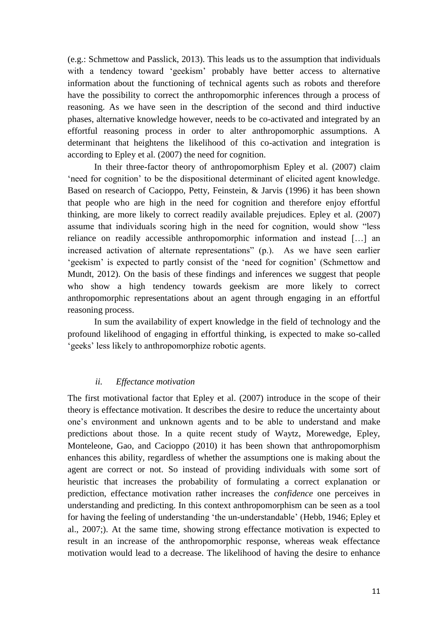(e.g.: Schmettow and Passlick, 2013). This leads us to the assumption that individuals with a tendency toward 'geekism' probably have better access to alternative information about the functioning of technical agents such as robots and therefore have the possibility to correct the anthropomorphic inferences through a process of reasoning. As we have seen in the description of the second and third inductive phases, alternative knowledge however, needs to be co-activated and integrated by an effortful reasoning process in order to alter anthropomorphic assumptions. A determinant that heightens the likelihood of this co-activation and integration is according to Epley et al. (2007) the need for cognition.

In their three-factor theory of anthropomorphism Epley et al. (2007) claim 'need for cognition' to be the dispositional determinant of elicited agent knowledge. Based on research of Cacioppo, Petty, Feinstein, & Jarvis (1996) it has been shown that people who are high in the need for cognition and therefore enjoy effortful thinking, are more likely to correct readily available prejudices. Epley et al. (2007) assume that individuals scoring high in the need for cognition, would show "less reliance on readily accessible anthropomorphic information and instead […] an increased activation of alternate representations" (p.). As we have seen earlier 'geekism' is expected to partly consist of the 'need for cognition' (Schmettow and Mundt, 2012). On the basis of these findings and inferences we suggest that people who show a high tendency towards geekism are more likely to correct anthropomorphic representations about an agent through engaging in an effortful reasoning process.

In sum the availability of expert knowledge in the field of technology and the profound likelihood of engaging in effortful thinking, is expected to make so-called 'geeks' less likely to anthropomorphize robotic agents.

#### *ii. Effectance motivation*

The first motivational factor that Epley et al. (2007) introduce in the scope of their theory is effectance motivation. It describes the desire to reduce the uncertainty about one's environment and unknown agents and to be able to understand and make predictions about those. In a quite recent study of Waytz, Morewedge, Epley, Monteleone, Gao, and Cacioppo (2010) it has been shown that anthropomorphism enhances this ability, regardless of whether the assumptions one is making about the agent are correct or not. So instead of providing individuals with some sort of heuristic that increases the probability of formulating a correct explanation or prediction, effectance motivation rather increases the *confidence* one perceives in understanding and predicting. In this context anthropomorphism can be seen as a tool for having the feeling of understanding 'the un-understandable' (Hebb, 1946; Epley et al., 2007;). At the same time, showing strong effectance motivation is expected to result in an increase of the anthropomorphic response, whereas weak effectance motivation would lead to a decrease. The likelihood of having the desire to enhance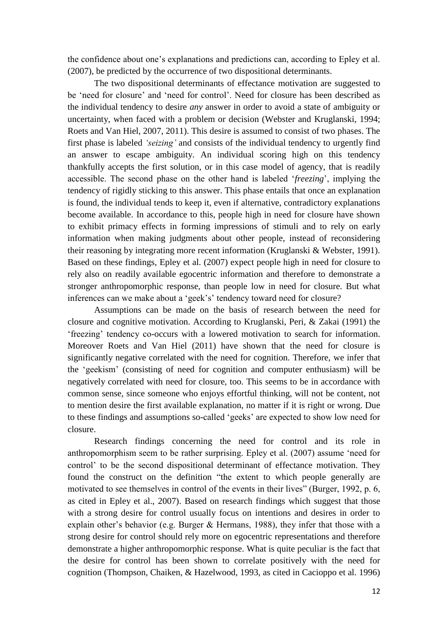the confidence about one's explanations and predictions can, according to Epley et al. (2007), be predicted by the occurrence of two dispositional determinants.

The two dispositional determinants of effectance motivation are suggested to be 'need for closure' and 'need for control'. Need for closure has been described as the individual tendency to desire *any* answer in order to avoid a state of ambiguity or uncertainty, when faced with a problem or decision (Webster and Kruglanski, 1994; Roets and Van Hiel, 2007, 2011). This desire is assumed to consist of two phases. The first phase is labeled *'seizing'* and consists of the individual tendency to urgently find an answer to escape ambiguity. An individual scoring high on this tendency thankfully accepts the first solution, or in this case model of agency, that is readily accessible. The second phase on the other hand is labeled '*freezing*', implying the tendency of rigidly sticking to this answer. This phase entails that once an explanation is found, the individual tends to keep it, even if alternative, contradictory explanations become available. In accordance to this, people high in need for closure have shown to exhibit primacy effects in forming impressions of stimuli and to rely on early information when making judgments about other people, instead of reconsidering their reasoning by integrating more recent information (Kruglanski & Webster, 1991). Based on these findings, Epley et al. (2007) expect people high in need for closure to rely also on readily available egocentric information and therefore to demonstrate a stronger anthropomorphic response, than people low in need for closure. But what inferences can we make about a 'geek's' tendency toward need for closure?

Assumptions can be made on the basis of research between the need for closure and cognitive motivation. According to Kruglanski, Peri, & Zakai (1991) the 'freezing' tendency co-occurs with a lowered motivation to search for information. Moreover Roets and Van Hiel (2011) have shown that the need for closure is significantly negative correlated with the need for cognition. Therefore, we infer that the 'geekism' (consisting of need for cognition and computer enthusiasm) will be negatively correlated with need for closure, too. This seems to be in accordance with common sense, since someone who enjoys effortful thinking, will not be content, not to mention desire the first available explanation, no matter if it is right or wrong. Due to these findings and assumptions so-called 'geeks' are expected to show low need for closure.

Research findings concerning the need for control and its role in anthropomorphism seem to be rather surprising. Epley et al. (2007) assume 'need for control' to be the second dispositional determinant of effectance motivation. They found the construct on the definition "the extent to which people generally are motivated to see themselves in control of the events in their lives" (Burger, 1992, p. 6, as cited in Epley et al., 2007). Based on research findings which suggest that those with a strong desire for control usually focus on intentions and desires in order to explain other's behavior (e.g. Burger & Hermans, 1988), they infer that those with a strong desire for control should rely more on egocentric representations and therefore demonstrate a higher anthropomorphic response. What is quite peculiar is the fact that the desire for control has been shown to correlate positively with the need for cognition (Thompson, Chaiken, & Hazelwood, 1993, as cited in Cacioppo et al. 1996)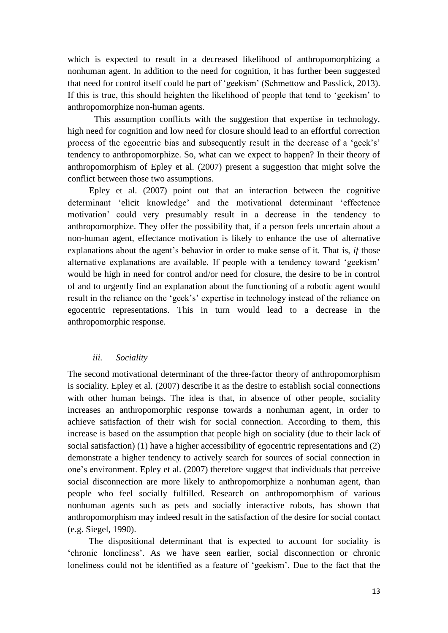which is expected to result in a decreased likelihood of anthropomorphizing a nonhuman agent. In addition to the need for cognition, it has further been suggested that need for control itself could be part of 'geekism' (Schmettow and Passlick, 2013). If this is true, this should heighten the likelihood of people that tend to 'geekism' to anthropomorphize non-human agents.

This assumption conflicts with the suggestion that expertise in technology, high need for cognition and low need for closure should lead to an effortful correction process of the egocentric bias and subsequently result in the decrease of a 'geek's' tendency to anthropomorphize. So, what can we expect to happen? In their theory of anthropomorphism of Epley et al. (2007) present a suggestion that might solve the conflict between those two assumptions.

Epley et al. (2007) point out that an interaction between the cognitive determinant 'elicit knowledge' and the motivational determinant 'effectence motivation' could very presumably result in a decrease in the tendency to anthropomorphize. They offer the possibility that, if a person feels uncertain about a non-human agent, effectance motivation is likely to enhance the use of alternative explanations about the agent's behavior in order to make sense of it. That is, *if* those alternative explanations are available. If people with a tendency toward 'geekism' would be high in need for control and/or need for closure, the desire to be in control of and to urgently find an explanation about the functioning of a robotic agent would result in the reliance on the 'geek's' expertise in technology instead of the reliance on egocentric representations. This in turn would lead to a decrease in the anthropomorphic response.

#### *iii. Sociality*

The second motivational determinant of the three-factor theory of anthropomorphism is sociality. Epley et al. (2007) describe it as the desire to establish social connections with other human beings. The idea is that, in absence of other people, sociality increases an anthropomorphic response towards a nonhuman agent, in order to achieve satisfaction of their wish for social connection. According to them, this increase is based on the assumption that people high on sociality (due to their lack of social satisfaction) (1) have a higher accessibility of egocentric representations and (2) demonstrate a higher tendency to actively search for sources of social connection in one's environment. Epley et al. (2007) therefore suggest that individuals that perceive social disconnection are more likely to anthropomorphize a nonhuman agent, than people who feel socially fulfilled. Research on anthropomorphism of various nonhuman agents such as pets and socially interactive robots, has shown that anthropomorphism may indeed result in the satisfaction of the desire for social contact (e.g. Siegel, 1990).

The dispositional determinant that is expected to account for sociality is 'chronic loneliness'. As we have seen earlier, social disconnection or chronic loneliness could not be identified as a feature of 'geekism'. Due to the fact that the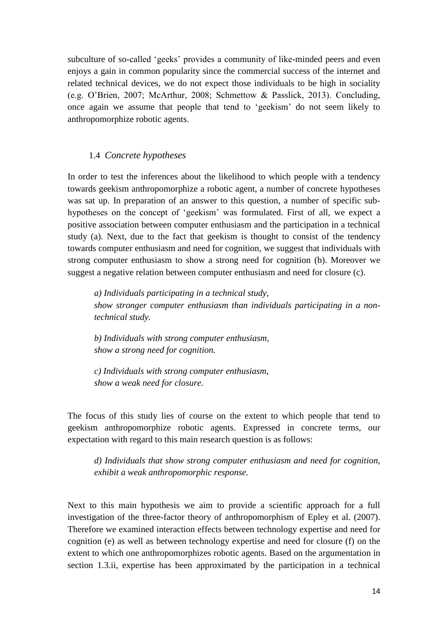subculture of so-called 'geeks' provides a community of like-minded peers and even enjoys a gain in common popularity since the commercial success of the internet and related technical devices, we do not expect those individuals to be high in sociality (e.g. O'Brien, 2007; McArthur, 2008; Schmettow & Passlick, 2013). Concluding, once again we assume that people that tend to 'geekism' do not seem likely to anthropomorphize robotic agents.

#### 1.4 *Concrete hypotheses*

In order to test the inferences about the likelihood to which people with a tendency towards geekism anthropomorphize a robotic agent, a number of concrete hypotheses was sat up. In preparation of an answer to this question, a number of specific subhypotheses on the concept of 'geekism' was formulated. First of all, we expect a positive association between computer enthusiasm and the participation in a technical study (a). Next, due to the fact that geekism is thought to consist of the tendency towards computer enthusiasm and need for cognition, we suggest that individuals with strong computer enthusiasm to show a strong need for cognition (b). Moreover we suggest a negative relation between computer enthusiasm and need for closure (c).

*a) Individuals participating in a technical study, show stronger computer enthusiasm than individuals participating in a nontechnical study.*

*b) Individuals with strong computer enthusiasm, show a strong need for cognition.*

*c) Individuals with strong computer enthusiasm, show a weak need for closure.*

The focus of this study lies of course on the extent to which people that tend to geekism anthropomorphize robotic agents. Expressed in concrete terms, our expectation with regard to this main research question is as follows:

*d) Individuals that show strong computer enthusiasm and need for cognition, exhibit a weak anthropomorphic response.*

Next to this main hypothesis we aim to provide a scientific approach for a full investigation of the three-factor theory of anthropomorphism of Epley et al. (2007). Therefore we examined interaction effects between technology expertise and need for cognition (e) as well as between technology expertise and need for closure (f) on the extent to which one anthropomorphizes robotic agents. Based on the argumentation in section 1.3.ii, expertise has been approximated by the participation in a technical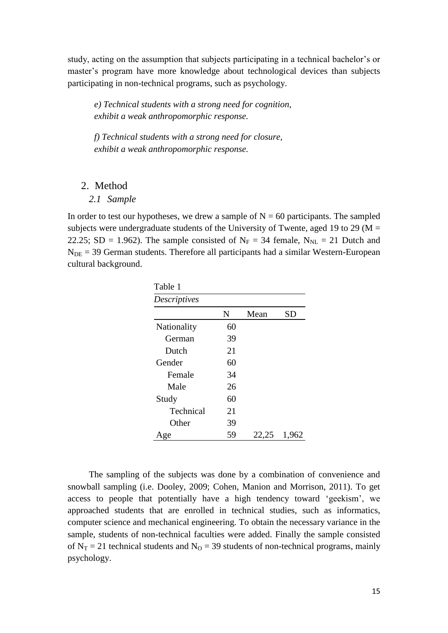study, acting on the assumption that subjects participating in a technical bachelor's or master's program have more knowledge about technological devices than subjects participating in non-technical programs, such as psychology.

*e) Technical students with a strong need for cognition, exhibit a weak anthropomorphic response.*

*f) Technical students with a strong need for closure, exhibit a weak anthropomorphic response.*

### 2. Method

#### *2.1 Sample*

In order to test our hypotheses, we drew a sample of  $N = 60$  participants. The sampled subjects were undergraduate students of the University of Twente, aged 19 to 29 ( $M =$ 22.25; SD = 1.962). The sample consisted of  $N_F = 34$  female,  $N_{NL} = 21$  Dutch and  $N<sub>DE</sub> = 39$  German students. Therefore all participants had a similar Western-European cultural background.

| Table 1      |    |       |           |
|--------------|----|-------|-----------|
| Descriptives |    |       |           |
|              | N  | Mean  | <b>SD</b> |
| Nationality  | 60 |       |           |
| German       | 39 |       |           |
| Dutch        | 21 |       |           |
| Gender       | 60 |       |           |
| Female       | 34 |       |           |
| Male         | 26 |       |           |
| Study        | 60 |       |           |
| Technical    | 21 |       |           |
| Other        | 39 |       |           |
| Age          | 59 | 22,25 | 1,962     |

The sampling of the subjects was done by a combination of convenience and snowball sampling (i.e. Dooley, 2009; Cohen, Manion and Morrison, 2011). To get access to people that potentially have a high tendency toward 'geekism', we approached students that are enrolled in technical studies, such as informatics, computer science and mechanical engineering. To obtain the necessary variance in the sample, students of non-technical faculties were added. Finally the sample consisted of  $N_T = 21$  technical students and  $N_Q = 39$  students of non-technical programs, mainly psychology.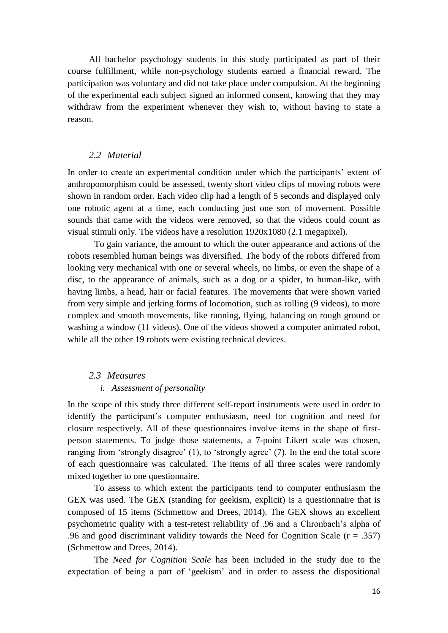All bachelor psychology students in this study participated as part of their course fulfillment, while non-psychology students earned a financial reward. The participation was voluntary and did not take place under compulsion. At the beginning of the experimental each subject signed an informed consent, knowing that they may withdraw from the experiment whenever they wish to, without having to state a reason.

### *2.2 Material*

In order to create an experimental condition under which the participants' extent of anthropomorphism could be assessed, twenty short video clips of moving robots were shown in random order. Each video clip had a length of 5 seconds and displayed only one robotic agent at a time, each conducting just one sort of movement. Possible sounds that came with the videos were removed, so that the videos could count as visual stimuli only. The videos have a resolution 1920x1080 (2.1 megapixel).

To gain variance, the amount to which the outer appearance and actions of the robots resembled human beings was diversified. The body of the robots differed from looking very mechanical with one or several wheels, no limbs, or even the shape of a disc, to the appearance of animals, such as a dog or a spider, to human-like, with having limbs, a head, hair or facial features. The movements that were shown varied from very simple and jerking forms of locomotion, such as rolling (9 videos), to more complex and smooth movements, like running, flying, balancing on rough ground or washing a window (11 videos). One of the videos showed a computer animated robot, while all the other 19 robots were existing technical devices.

#### *2.3 Measures*

#### *i. Assessment of personality*

In the scope of this study three different self-report instruments were used in order to identify the participant's computer enthusiasm, need for cognition and need for closure respectively. All of these questionnaires involve items in the shape of firstperson statements. To judge those statements, a 7-point Likert scale was chosen, ranging from 'strongly disagree' (1), to 'strongly agree' (7). In the end the total score of each questionnaire was calculated. The items of all three scales were randomly mixed together to one questionnaire.

To assess to which extent the participants tend to computer enthusiasm the GEX was used. The GEX (standing for geekism, explicit) is a questionnaire that is composed of 15 items (Schmettow and Drees, 2014). The GEX shows an excellent psychometric quality with a test-retest reliability of .96 and a Chronbach's alpha of .96 and good discriminant validity towards the Need for Cognition Scale (r = .357) (Schmettow and Drees, 2014).

The *Need for Cognition Scale* has been included in the study due to the expectation of being a part of 'geekism' and in order to assess the dispositional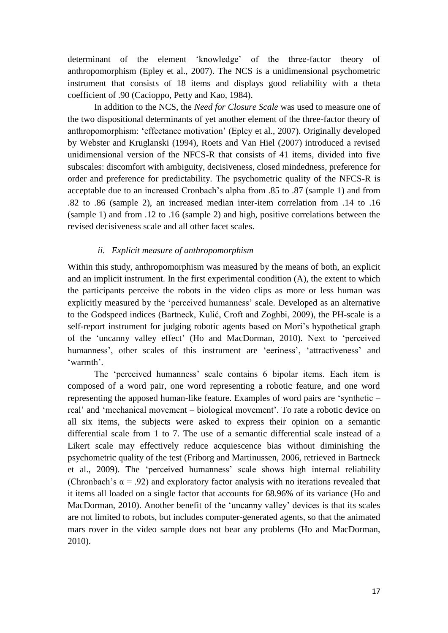determinant of the element 'knowledge' of the three-factor theory of anthropomorphism (Epley et al., 2007). The NCS is a unidimensional psychometric instrument that consists of 18 items and displays good reliability with a theta coefficient of .90 (Cacioppo, Petty and Kao, 1984).

In addition to the NCS, the *Need for Closure Scale* was used to measure one of the two dispositional determinants of yet another element of the three-factor theory of anthropomorphism: 'effectance motivation' (Epley et al., 2007). Originally developed by Webster and Kruglanski (1994), Roets and Van Hiel (2007) introduced a revised unidimensional version of the NFCS-R that consists of 41 items, divided into five subscales: discomfort with ambiguity, decisiveness, closed mindedness, preference for order and preference for predictability. The psychometric quality of the NFCS-R is acceptable due to an increased Cronbach's alpha from .85 to .87 (sample 1) and from .82 to .86 (sample 2), an increased median inter-item correlation from .14 to .16 (sample 1) and from .12 to .16 (sample 2) and high, positive correlations between the revised decisiveness scale and all other facet scales.

#### *ii. Explicit measure of anthropomorphism*

Within this study, anthropomorphism was measured by the means of both, an explicit and an implicit instrument. In the first experimental condition (A), the extent to which the participants perceive the robots in the video clips as more or less human was explicitly measured by the 'perceived humanness' scale. Developed as an alternative to the Godspeed indices (Bartneck, Kulić, Croft and Zoghbi, 2009), the PH-scale is a self-report instrument for judging robotic agents based on Mori's hypothetical graph of the 'uncanny valley effect' (Ho and MacDorman, 2010). Next to 'perceived humanness', other scales of this instrument are 'eeriness', 'attractiveness' and 'warmth'.

The 'perceived humanness' scale contains 6 bipolar items. Each item is composed of a word pair, one word representing a robotic feature, and one word representing the apposed human-like feature. Examples of word pairs are 'synthetic – real' and 'mechanical movement – biological movement'. To rate a robotic device on all six items, the subjects were asked to express their opinion on a semantic differential scale from 1 to 7. The use of a semantic differential scale instead of a Likert scale may effectively reduce acquiescence bias without diminishing the psychometric quality of the test (Friborg and Martinussen, 2006, retrieved in Bartneck et al., 2009). The 'perceived humanness' scale shows high internal reliability (Chronbach's  $\alpha$  = .92) and exploratory factor analysis with no iterations revealed that it items all loaded on a single factor that accounts for 68.96% of its variance (Ho and MacDorman, 2010). Another benefit of the 'uncanny valley' devices is that its scales are not limited to robots, but includes computer-generated agents, so that the animated mars rover in the video sample does not bear any problems (Ho and MacDorman, 2010).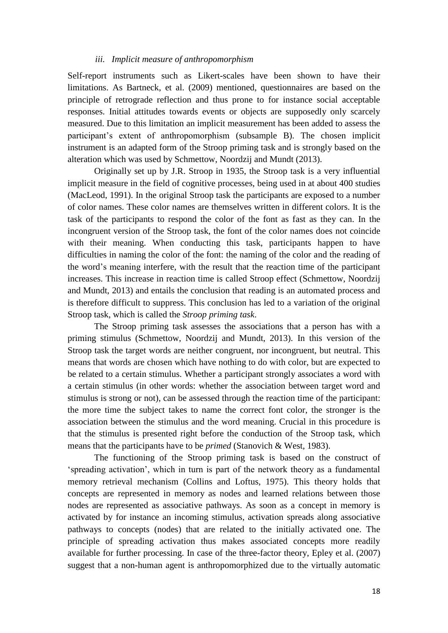#### *iii. Implicit measure of anthropomorphism*

Self-report instruments such as Likert-scales have been shown to have their limitations. As Bartneck, et al. (2009) mentioned, questionnaires are based on the principle of retrograde reflection and thus prone to for instance social acceptable responses. Initial attitudes towards events or objects are supposedly only scarcely measured. Due to this limitation an implicit measurement has been added to assess the participant's extent of anthropomorphism (subsample B). The chosen implicit instrument is an adapted form of the Stroop priming task and is strongly based on the alteration which was used by Schmettow, Noordzij and Mundt (2013).

Originally set up by J.R. Stroop in 1935, the Stroop task is a very influential implicit measure in the field of cognitive processes, being used in at about 400 studies (MacLeod, 1991). In the original Stroop task the participants are exposed to a number of color names. These color names are themselves written in different colors. It is the task of the participants to respond the color of the font as fast as they can. In the incongruent version of the Stroop task, the font of the color names does not coincide with their meaning. When conducting this task, participants happen to have difficulties in naming the color of the font: the naming of the color and the reading of the word's meaning interfere, with the result that the reaction time of the participant increases. This increase in reaction time is called Stroop effect (Schmettow, Noordzij and Mundt, 2013) and entails the conclusion that reading is an automated process and is therefore difficult to suppress. This conclusion has led to a variation of the original Stroop task, which is called the *Stroop priming task*.

The Stroop priming task assesses the associations that a person has with a priming stimulus (Schmettow, Noordzij and Mundt, 2013). In this version of the Stroop task the target words are neither congruent, nor incongruent, but neutral. This means that words are chosen which have nothing to do with color, but are expected to be related to a certain stimulus. Whether a participant strongly associates a word with a certain stimulus (in other words: whether the association between target word and stimulus is strong or not), can be assessed through the reaction time of the participant: the more time the subject takes to name the correct font color, the stronger is the association between the stimulus and the word meaning. Crucial in this procedure is that the stimulus is presented right before the conduction of the Stroop task, which means that the participants have to be *primed* (Stanovich & West, 1983).

The functioning of the Stroop priming task is based on the construct of 'spreading activation', which in turn is part of the network theory as a fundamental memory retrieval mechanism (Collins and Loftus, 1975). This theory holds that concepts are represented in memory as nodes and learned relations between those nodes are represented as associative pathways. As soon as a concept in memory is activated by for instance an incoming stimulus, activation spreads along associative pathways to concepts (nodes) that are related to the initially activated one. The principle of spreading activation thus makes associated concepts more readily available for further processing. In case of the three-factor theory, Epley et al. (2007) suggest that a non-human agent is anthropomorphized due to the virtually automatic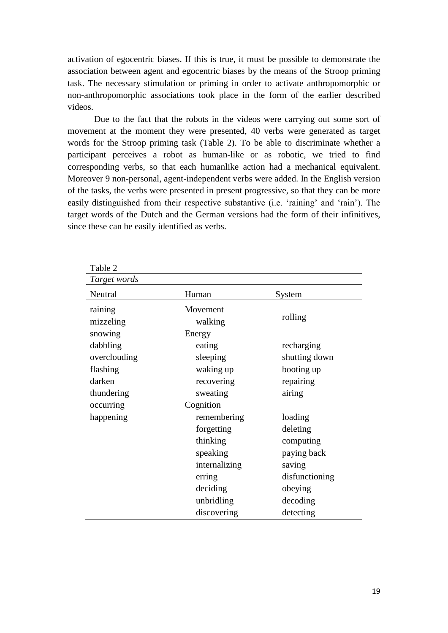activation of egocentric biases. If this is true, it must be possible to demonstrate the association between agent and egocentric biases by the means of the Stroop priming task. The necessary stimulation or priming in order to activate anthropomorphic or non-anthropomorphic associations took place in the form of the earlier described videos.

Due to the fact that the robots in the videos were carrying out some sort of movement at the moment they were presented, 40 verbs were generated as target words for the Stroop priming task (Table 2). To be able to discriminate whether a participant perceives a robot as human-like or as robotic, we tried to find corresponding verbs, so that each humanlike action had a mechanical equivalent. Moreover 9 non-personal, agent-independent verbs were added. In the English version of the tasks, the verbs were presented in present progressive, so that they can be more easily distinguished from their respective substantive (i.e. 'raining' and 'rain'). The target words of the Dutch and the German versions had the form of their infinitives, since these can be easily identified as verbs.

| Table 2                         |                                       |                                    |
|---------------------------------|---------------------------------------|------------------------------------|
| Target words                    |                                       |                                    |
| Neutral                         | Human                                 | System                             |
| raining<br>mizzeling<br>snowing | Movement<br>walking<br>Energy         | rolling                            |
| dabbling<br>overclouding        | eating<br>sleeping                    | recharging<br>shutting down        |
| flashing<br>darken              | waking up<br>recovering               | booting up<br>repairing            |
| thundering<br>occurring         | sweating<br>Cognition                 | airing                             |
| happening                       | remembering<br>forgetting             | loading<br>deleting                |
|                                 | thinking<br>speaking<br>internalizing | computing<br>paying back<br>saving |
|                                 | erring<br>deciding                    | disfunctioning<br>obeying          |
|                                 | unbridling<br>discovering             | decoding<br>detecting              |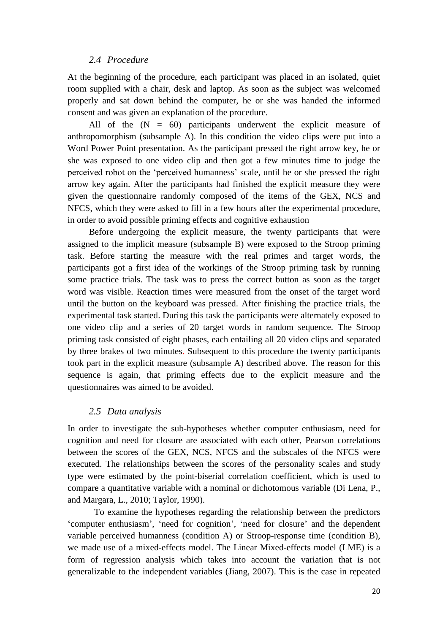### *2.4 Procedure*

At the beginning of the procedure, each participant was placed in an isolated, quiet room supplied with a chair, desk and laptop. As soon as the subject was welcomed properly and sat down behind the computer, he or she was handed the informed consent and was given an explanation of the procedure.

All of the  $(N = 60)$  participants underwent the explicit measure of anthropomorphism (subsample A). In this condition the video clips were put into a Word Power Point presentation. As the participant pressed the right arrow key, he or she was exposed to one video clip and then got a few minutes time to judge the perceived robot on the 'perceived humanness' scale, until he or she pressed the right arrow key again. After the participants had finished the explicit measure they were given the questionnaire randomly composed of the items of the GEX, NCS and NFCS, which they were asked to fill in a few hours after the experimental procedure, in order to avoid possible priming effects and cognitive exhaustion

Before undergoing the explicit measure, the twenty participants that were assigned to the implicit measure (subsample B) were exposed to the Stroop priming task. Before starting the measure with the real primes and target words, the participants got a first idea of the workings of the Stroop priming task by running some practice trials. The task was to press the correct button as soon as the target word was visible. Reaction times were measured from the onset of the target word until the button on the keyboard was pressed. After finishing the practice trials, the experimental task started. During this task the participants were alternately exposed to one video clip and a series of 20 target words in random sequence. The Stroop priming task consisted of eight phases, each entailing all 20 video clips and separated by three brakes of two minutes. Subsequent to this procedure the twenty participants took part in the explicit measure (subsample A) described above. The reason for this sequence is again, that priming effects due to the explicit measure and the questionnaires was aimed to be avoided.

### *2.5 Data analysis*

In order to investigate the sub-hypotheses whether computer enthusiasm, need for cognition and need for closure are associated with each other, Pearson correlations between the scores of the GEX, NCS, NFCS and the subscales of the NFCS were executed. The relationships between the scores of the personality scales and study type were estimated by the point-biserial correlation coefficient, which is used to compare a quantitative variable with a nominal or dichotomous variable (Di Lena, P., and Margara, L., 2010; Taylor, 1990).

To examine the hypotheses regarding the relationship between the predictors 'computer enthusiasm', 'need for cognition', 'need for closure' and the dependent variable perceived humanness (condition A) or Stroop-response time (condition B), we made use of a mixed-effects model. The Linear Mixed-effects model (LME) is a form of regression analysis which takes into account the variation that is not generalizable to the independent variables (Jiang, 2007). This is the case in repeated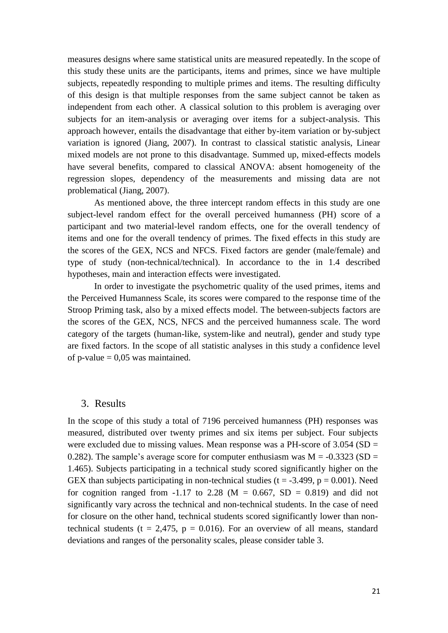measures designs where same statistical units are measured repeatedly. In the scope of this study these units are the participants, items and primes, since we have multiple subjects, repeatedly responding to multiple primes and items. The resulting difficulty of this design is that multiple responses from the same subject cannot be taken as independent from each other. A classical solution to this problem is averaging over subjects for an item-analysis or averaging over items for a subject-analysis. This approach however, entails the disadvantage that either by-item variation or by-subject variation is ignored (Jiang, 2007). In contrast to classical statistic analysis, Linear mixed models are not prone to this disadvantage. Summed up, mixed-effects models have several benefits, compared to classical ANOVA: absent homogeneity of the regression slopes, dependency of the measurements and missing data are not problematical (Jiang, 2007).

As mentioned above, the three intercept random effects in this study are one subject-level random effect for the overall perceived humanness (PH) score of a participant and two material-level random effects, one for the overall tendency of items and one for the overall tendency of primes. The fixed effects in this study are the scores of the GEX, NCS and NFCS. Fixed factors are gender (male/female) and type of study (non-technical/technical). In accordance to the in 1.4 described hypotheses, main and interaction effects were investigated.

In order to investigate the psychometric quality of the used primes, items and the Perceived Humanness Scale, its scores were compared to the response time of the Stroop Priming task, also by a mixed effects model. The between-subjects factors are the scores of the GEX, NCS, NFCS and the perceived humanness scale. The word category of the targets (human-like, system-like and neutral), gender and study type are fixed factors. In the scope of all statistic analyses in this study a confidence level of p-value  $= 0.05$  was maintained.

#### 3. Results

In the scope of this study a total of 7196 perceived humanness (PH) responses was measured, distributed over twenty primes and six items per subject. Four subjects were excluded due to missing values. Mean response was a PH-score of  $3.054$  (SD = 0.282). The sample's average score for computer enthusiasm was  $M = -0.3323$  (SD = 1.465). Subjects participating in a technical study scored significantly higher on the GEX than subjects participating in non-technical studies ( $t = -3.499$ ,  $p = 0.001$ ). Need for cognition ranged from  $-1.17$  to 2.28 (M = 0.667, SD = 0.819) and did not significantly vary across the technical and non-technical students. In the case of need for closure on the other hand, technical students scored significantly lower than nontechnical students (t = 2,475,  $p = 0.016$ ). For an overview of all means, standard deviations and ranges of the personality scales, please consider table 3.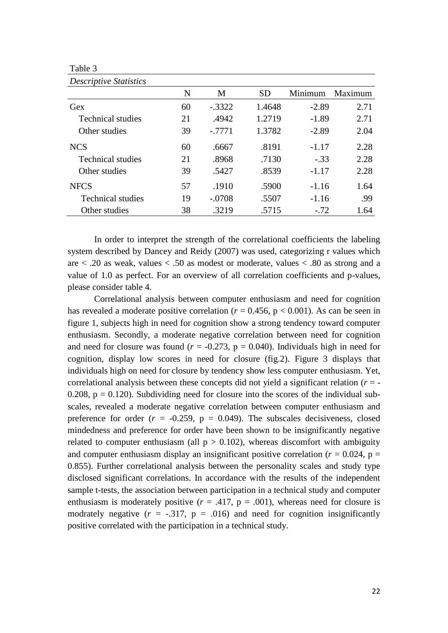Table 3

| <b>Descriptive Statistics</b> |    |           |           |         |         |
|-------------------------------|----|-----------|-----------|---------|---------|
|                               | N  | M         | <b>SD</b> | Minimum | Maximum |
| Gex                           | 60 | $-.3322$  | 1.4648    | $-2.89$ | 2.71    |
| <b>Technical studies</b>      | 21 | .4942     | 1.2719    | $-1.89$ | 2.71    |
| Other studies                 | 39 | $-0.7771$ | 1.3782    | $-2.89$ | 2.04    |
| <b>NCS</b>                    | 60 | .6667     | .8191     | $-1.17$ | 2.28    |
| <b>Technical studies</b>      | 21 | .8968     | .7130     | $-.33$  | 2.28    |
| Other studies                 | 39 | .5427     | .8539     | $-1.17$ | 2.28    |
| <b>NFCS</b>                   | 57 | .1910     | .5900     | $-1.16$ | 1.64    |
| <b>Technical studies</b>      | 19 | $-.0708$  | .5507     | $-1.16$ | .99     |
| Other studies                 | 38 | .3219     | .5715     | $-72$   | 1.64    |

In order to interpret the strength of the correlational coefficients the labeling system described by Dancey and Reidy (2007) was used, categorizing r values which are  $\langle 0.20 \rangle$  as weak, values  $\langle 0.50 \rangle$  as modest or moderate, values  $\langle 0.80 \rangle$  as strong and a value of 1.0 as perfect. For an overview of all correlation coefficients and p-values, please consider table 4.

Correlational analysis between computer enthusiasm and need for cognition has revealed a moderate positive correlation ( $r = 0.456$ ,  $p < 0.001$ ). As can be seen in figure 1, subjects high in need for cognition show a strong tendency toward computer enthusiasm. Secondly, a moderate negative correlation between need for cognition and need for closure was found ( $r = -0.273$ ,  $p = 0.040$ ). Individuals high in need for cognition, display low scores in need for closure (fig.2). Figure 3 displays that individuals high on need for closure by tendency show less computer enthusiasm. Yet, correlational analysis between these concepts did not yield a significant relation (*r* = - 0.208,  $p = 0.120$ ). Subdividing need for closure into the scores of the individual subscales, revealed a moderate negative correlation between computer enthusiasm and preference for order  $(r = -0.259, p = 0.049)$ . The subscales decisiveness, closed mindedness and preference for order have been shown to be insignificantly negative related to computer enthusiasm (all  $p > 0.102$ ), whereas discomfort with ambiguity and computer enthusiasm display an insignificant positive correlation ( $r = 0.024$ ,  $p =$ 0.855). Further correlational analysis between the personality scales and study type disclosed significant correlations. In accordance with the results of the independent sample t-tests, the association between participation in a technical study and computer enthusiasm is moderately positive  $(r = .417, p = .001)$ , whereas need for closure is modrately negative  $(r = -.317, p = .016)$  and need for cognition insignificantly positive correlated with the participation in a technical study.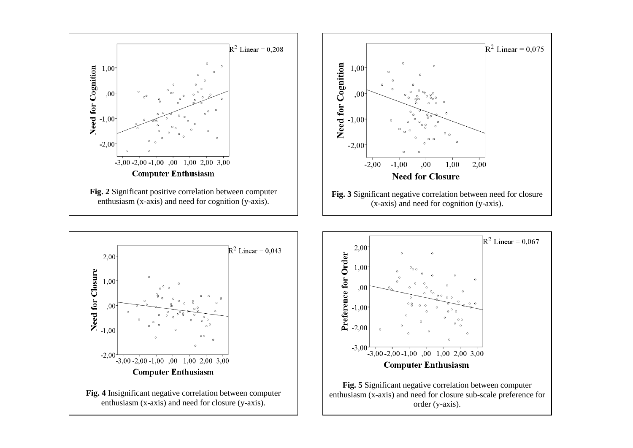





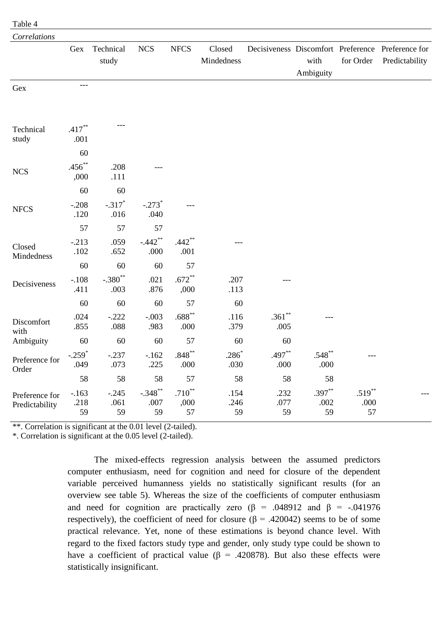| Correlations                     |                              |                        |                              |                        |                      |                    |                        |                      |                                                                     |
|----------------------------------|------------------------------|------------------------|------------------------------|------------------------|----------------------|--------------------|------------------------|----------------------|---------------------------------------------------------------------|
|                                  | Gex                          | Technical<br>study     | <b>NCS</b>                   | <b>NFCS</b>            | Closed<br>Mindedness |                    | with<br>Ambiguity      | for Order            | Decisiveness Discomfort Preference Preference for<br>Predictability |
| Gex                              | $---$                        |                        |                              |                        |                      |                    |                        |                      |                                                                     |
| Technical<br>study               | $.417**$<br>.001             |                        |                              |                        |                      |                    |                        |                      |                                                                     |
| <b>NCS</b>                       | 60<br>$.456***$<br>,000      | .208<br>.111           |                              |                        |                      |                    |                        |                      |                                                                     |
| <b>NFCS</b>                      | 60<br>$-208$<br>.120         | 60<br>$-.317*$<br>.016 | $-.273$ <sup>*</sup><br>.040 |                        |                      |                    |                        |                      |                                                                     |
|                                  | 57                           | 57                     | 57                           |                        |                      |                    |                        |                      |                                                                     |
| Closed<br>Mindedness             | $-.213$<br>.102              | .059<br>.652           | $-.442$ **<br>.000           | $.442**$<br>.001       |                      |                    |                        |                      |                                                                     |
|                                  | 60                           | 60                     | 60                           | 57                     |                      |                    |                        |                      |                                                                     |
| Decisiveness                     | $-.108$<br>.411              | $-.380$ **<br>.003     | .021<br>.876                 | $.672**$<br>,000       | .207<br>.113         |                    |                        |                      |                                                                     |
|                                  | 60                           | 60                     | 60                           | 57                     | 60                   |                    |                        |                      |                                                                     |
| Discomfort<br>with               | .024<br>.855                 | $-.222$<br>.088        | $-.003$<br>.983              | $.688**$<br>.000       | .116<br>.379         | $.361**$<br>.005   |                        |                      |                                                                     |
| Ambiguity                        | 60                           | 60                     | 60                           | 57                     | 60                   | 60                 |                        |                      |                                                                     |
| Preference for<br>Order          | $-.259$ <sup>*</sup><br>.049 | $-.237$<br>.073        | $-.162$<br>.225              | $.848**$<br>.000       | $.286*$<br>.030      | $.497**$<br>.000   | $.548**$<br>.000       |                      |                                                                     |
|                                  | 58                           | 58                     | 58                           | 57                     | 58                   | 58                 | 58                     |                      |                                                                     |
| Preference for<br>Predictability | $-.163$<br>.218<br>59        | $-.245$<br>.061<br>59  | $-.348**$<br>.007<br>59      | $.710**$<br>,000<br>57 | .154<br>.246<br>59   | .232<br>.077<br>59 | $.397**$<br>.002<br>59 | .519**<br>.000<br>57 |                                                                     |

\*\*. Correlation is significant at the 0.01 level (2-tailed).

\*. Correlation is significant at the 0.05 level (2-tailed).

Table 4

The mixed-effects regression analysis between the assumed predictors computer enthusiasm, need for cognition and need for closure of the dependent variable perceived humanness yields no statistically significant results (for an overview see table 5). Whereas the size of the coefficients of computer enthusiasm and need for cognition are practically zero ( $\beta$  = .048912 and  $\beta$  = -.041976 respectively), the coefficient of need for closure ( $\beta$  = .420042) seems to be of some practical relevance. Yet, none of these estimations is beyond chance level. With regard to the fixed factors study type and gender, only study type could be shown to have a coefficient of practical value ( $\beta$  = .420878). But also these effects were statistically insignificant.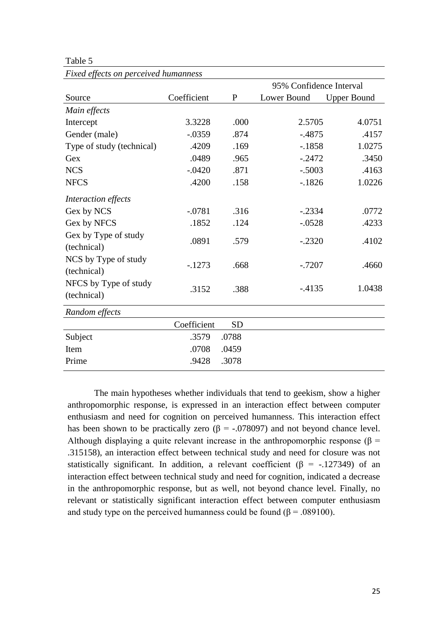Table 5

|                                      |             |              | 95% Confidence Interval |                    |  |  |
|--------------------------------------|-------------|--------------|-------------------------|--------------------|--|--|
| Source                               | Coefficient | $\mathbf{P}$ | Lower Bound             | <b>Upper Bound</b> |  |  |
| Main effects                         |             |              |                         |                    |  |  |
| Intercept                            | 3.3228      | .000         | 2.5705                  | 4.0751             |  |  |
| Gender (male)                        | $-.0359$    | .874         | $-.4875$                | .4157              |  |  |
| Type of study (technical)            | .4209       | .169         | $-.1858$                | 1.0275             |  |  |
| Gex                                  | .0489       | .965         | $-.2472$                | .3450              |  |  |
| <b>NCS</b>                           | $-.0420$    | .871         | $-.5003$                | .4163              |  |  |
| <b>NFCS</b>                          | .4200       | .158         | $-1826$                 | 1.0226             |  |  |
| Interaction effects                  |             |              |                         |                    |  |  |
| Gex by NCS                           | $-.0781$    | .316         | $-.2334$                | .0772              |  |  |
| Gex by NFCS                          | .1852       | .124         | $-.0528$                | .4233              |  |  |
| Gex by Type of study<br>(technical)  | .0891       | .579         | $-.2320$                | .4102              |  |  |
| NCS by Type of study<br>(technical)  | $-1273$     | .668         | $-.7207$                | .4660              |  |  |
| NFCS by Type of study<br>(technical) | .3152       | .388         | $-4135$                 | 1.0438             |  |  |
| Random effects                       |             |              |                         |                    |  |  |
|                                      | Coefficient | <b>SD</b>    |                         |                    |  |  |
| Subject                              | .3579       | .0788        |                         |                    |  |  |
| Item                                 | .0708       | .0459        |                         |                    |  |  |
| Prime                                | .9428       | .3078        |                         |                    |  |  |

*Fixed effects on perceived humanness*

The main hypotheses whether individuals that tend to geekism, show a higher anthropomorphic response, is expressed in an interaction effect between computer enthusiasm and need for cognition on perceived humanness. This interaction effect has been shown to be practically zero ( $\beta$  = -.078097) and not beyond chance level. Although displaying a quite relevant increase in the anthropomorphic response ( $\beta$  = .315158), an interaction effect between technical study and need for closure was not statistically significant. In addition, a relevant coefficient ( $\beta$  = -.127349) of an interaction effect between technical study and need for cognition, indicated a decrease in the anthropomorphic response, but as well, not beyond chance level. Finally, no relevant or statistically significant interaction effect between computer enthusiasm and study type on the perceived humanness could be found ( $\beta$  = .089100).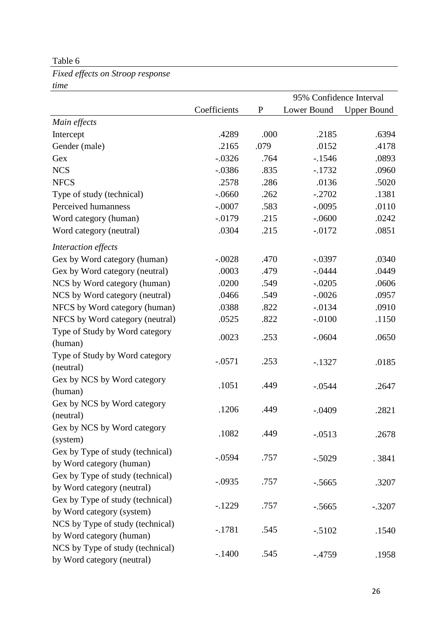### Table 6

*Fixed effects on Stroop response time*

|                                  |              |           | 95% Confidence Interval |                    |
|----------------------------------|--------------|-----------|-------------------------|--------------------|
|                                  | Coefficients | ${\bf P}$ | Lower Bound             | <b>Upper Bound</b> |
| Main effects                     |              |           |                         |                    |
| Intercept                        | .4289        | .000      | .2185                   | .6394              |
| Gender (male)                    | .2165        | .079      | .0152                   | .4178              |
| Gex                              | $-.0326$     | .764      | $-1546$                 | .0893              |
| <b>NCS</b>                       | $-.0386$     | .835      | $-1732$                 | .0960              |
| <b>NFCS</b>                      | .2578        | .286      | .0136                   | .5020              |
| Type of study (technical)        | $-.0660$     | .262      | $-.2702$                | .1381              |
| Perceived humanness              | $-.0007$     | .583      | $-.0095$                | .0110              |
| Word category (human)            | $-0.0179$    | .215      | $-.0600$                | .0242              |
| Word category (neutral)          | .0304        | .215      | $-.0172$                | .0851              |
| Interaction effects              |              |           |                         |                    |
| Gex by Word category (human)     | $-.0028$     | .470      | $-.0397$                | .0340              |
| Gex by Word category (neutral)   | .0003        | .479      | $-.0444$                | .0449              |
| NCS by Word category (human)     | .0200        | .549      | $-.0205$                | .0606              |
| NCS by Word category (neutral)   | .0466        | .549      | $-.0026$                | .0957              |
| NFCS by Word category (human)    | .0388        | .822      | $-0.0134$               | .0910              |
| NFCS by Word category (neutral)  | .0525        | .822      | $-.0100$                | .1150              |
| Type of Study by Word category   | .0023        | .253      | $-.0604$                | .0650              |
| (human)                          |              |           |                         |                    |
| Type of Study by Word category   | $-.0571$     | .253      | $-1327$                 | .0185              |
| (neutral)                        |              |           |                         |                    |
| Gex by NCS by Word category      | .1051        | .449      | $-.0544$                | .2647              |
| (human)                          |              |           |                         |                    |
| Gex by NCS by Word category      | .1206        | .449      | $-.0409$                | .2821              |
| (neutral)                        |              |           |                         |                    |
| Gex by NCS by Word category      | .1082        | .449      | $-.0513$                | .2678              |
| (system)                         |              |           |                         |                    |
| Gex by Type of study (technical) | $-.0594$     | .757      | $-.5029$                | .3841              |
| by Word category (human)         |              |           |                         |                    |
| Gex by Type of study (technical) | $-.0935$     | .757      | $-0.5665$               | .3207              |
| by Word category (neutral)       |              |           |                         |                    |
| Gex by Type of study (technical) | $-1229$      | .757      | $-0.5665$               | $-.3207$           |
| by Word category (system)        |              |           |                         |                    |
| NCS by Type of study (technical) | $-.1781$     | .545      | $-.5102$                | .1540              |
| by Word category (human)         |              |           |                         |                    |
| NCS by Type of study (technical) | $-.1400$     | .545      | $-.4759$                | .1958              |
| by Word category (neutral)       |              |           |                         |                    |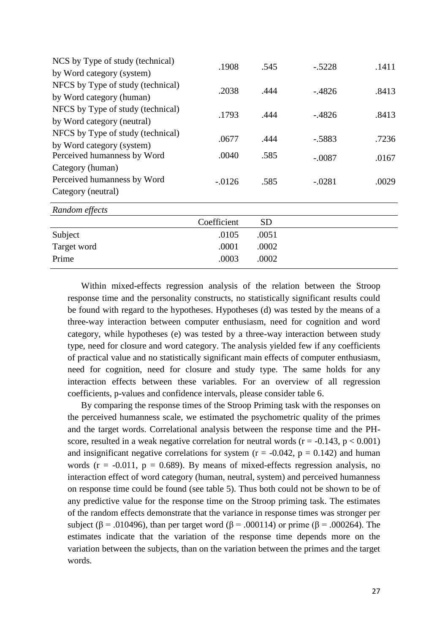| NCS by Type of study (technical)  | .1908       | .545      | $-.5228$  | .1411 |
|-----------------------------------|-------------|-----------|-----------|-------|
| by Word category (system)         |             |           |           |       |
| NFCS by Type of study (technical) | .2038       | .444      | $-0.4826$ | .8413 |
| by Word category (human)          |             |           |           |       |
| NFCS by Type of study (technical) | .1793       | .444      | $-0.4826$ | .8413 |
| by Word category (neutral)        |             |           |           |       |
| NFCS by Type of study (technical) | .0677       | .444      | $-.5883$  | .7236 |
| by Word category (system)         |             |           |           |       |
| Perceived humanness by Word       | .0040       | .585      | $-.0087$  | .0167 |
| Category (human)                  |             |           |           |       |
| Perceived humanness by Word       | $-0.0126$   | .585      | $-.0281$  | .0029 |
| Category (neutral)                |             |           |           |       |
| Random effects                    |             |           |           |       |
|                                   | Coefficient | <b>SD</b> |           |       |
| Subject                           | .0105       | .0051     |           |       |
| Target word                       | .0001       | .0002     |           |       |
| Prime                             | .0003       | .0002     |           |       |
|                                   |             |           |           |       |

Within mixed-effects regression analysis of the relation between the Stroop response time and the personality constructs, no statistically significant results could be found with regard to the hypotheses. Hypotheses (d) was tested by the means of a three-way interaction between computer enthusiasm, need for cognition and word category, while hypotheses (e) was tested by a three-way interaction between study type, need for closure and word category. The analysis yielded few if any coefficients of practical value and no statistically significant main effects of computer enthusiasm, need for cognition, need for closure and study type. The same holds for any interaction effects between these variables. For an overview of all regression coefficients, p-values and confidence intervals, please consider table 6.

By comparing the response times of the Stroop Priming task with the responses on the perceived humanness scale, we estimated the psychometric quality of the primes and the target words. Correlational analysis between the response time and the PHscore, resulted in a weak negative correlation for neutral words ( $r = -0.143$ ,  $p < 0.001$ ) and insignificant negative correlations for system ( $r = -0.042$ ,  $p = 0.142$ ) and human words ( $r = -0.011$ ,  $p = 0.689$ ). By means of mixed-effects regression analysis, no interaction effect of word category (human, neutral, system) and perceived humanness on response time could be found (see table 5). Thus both could not be shown to be of any predictive value for the response time on the Stroop priming task. The estimates of the random effects demonstrate that the variance in response times was stronger per subject ( $\beta$  = .010496), than per target word ( $\beta$  = .000114) or prime ( $\beta$  = .000264). The estimates indicate that the variation of the response time depends more on the variation between the subjects, than on the variation between the primes and the target words.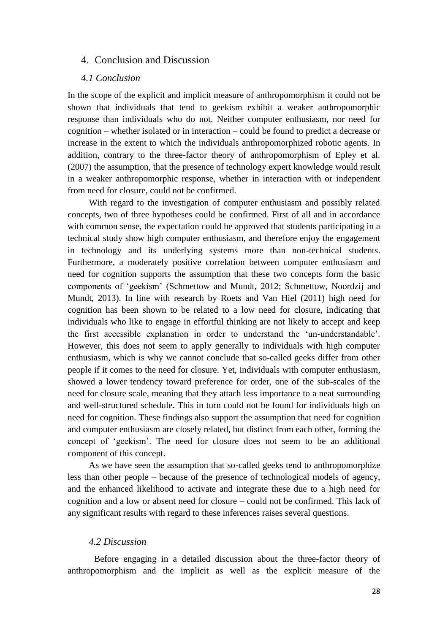### 4. Conclusion and Discussion

### *4.1 Conclusion*

In the scope of the explicit and implicit measure of anthropomorphism it could not be shown that individuals that tend to geekism exhibit a weaker anthropomorphic response than individuals who do not. Neither computer enthusiasm, nor need for cognition – whether isolated or in interaction – could be found to predict a decrease or increase in the extent to which the individuals anthropomorphized robotic agents. In addition, contrary to the three-factor theory of anthropomorphism of Epley et al. (2007) the assumption, that the presence of technology expert knowledge would result in a weaker anthropomorphic response, whether in interaction with or independent from need for closure, could not be confirmed.

With regard to the investigation of computer enthusiasm and possibly related concepts, two of three hypotheses could be confirmed. First of all and in accordance with common sense, the expectation could be approved that students participating in a technical study show high computer enthusiasm, and therefore enjoy the engagement in technology and its underlying systems more than non-technical students. Furthermore, a moderately positive correlation between computer enthusiasm and need for cognition supports the assumption that these two concepts form the basic components of 'geekism' (Schmettow and Mundt, 2012; Schmettow, Noordzij and Mundt, 2013). In line with research by Roets and Van Hiel (2011) high need for cognition has been shown to be related to a low need for closure, indicating that individuals who like to engage in effortful thinking are not likely to accept and keep the first accessible explanation in order to understand the 'un-understandable'. However, this does not seem to apply generally to individuals with high computer enthusiasm, which is why we cannot conclude that so-called geeks differ from other people if it comes to the need for closure. Yet, individuals with computer enthusiasm, showed a lower tendency toward preference for order, one of the sub-scales of the need for closure scale, meaning that they attach less importance to a neat surrounding and well-structured schedule. This in turn could not be found for individuals high on need for cognition. These findings also support the assumption that need for cognition and computer enthusiasm are closely related, but distinct from each other, forming the concept of 'geekism'. The need for closure does not seem to be an additional component of this concept.

As we have seen the assumption that so-called geeks tend to anthropomorphize less than other people – because of the presence of technological models of agency, and the enhanced likelihood to activate and integrate these due to a high need for cognition and a low or absent need for closure – could not be confirmed. This lack of any significant results with regard to these inferences raises several questions.

#### *4.2 Discussion*

Before engaging in a detailed discussion about the three-factor theory of anthropomorphism and the implicit as well as the explicit measure of the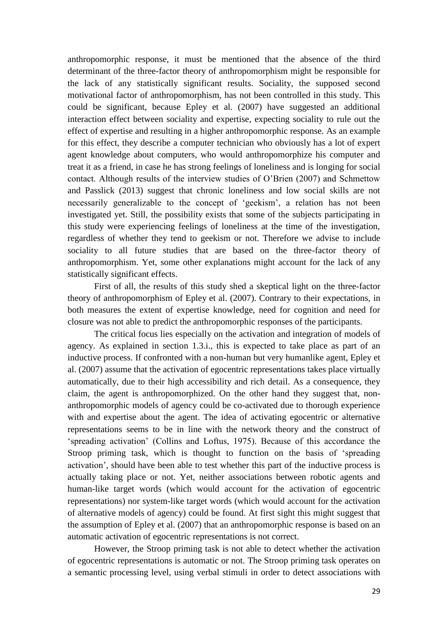anthropomorphic response, it must be mentioned that the absence of the third determinant of the three-factor theory of anthropomorphism might be responsible for the lack of any statistically significant results. Sociality, the supposed second motivational factor of anthropomorphism, has not been controlled in this study. This could be significant, because Epley et al. (2007) have suggested an additional interaction effect between sociality and expertise, expecting sociality to rule out the effect of expertise and resulting in a higher anthropomorphic response. As an example for this effect, they describe a computer technician who obviously has a lot of expert agent knowledge about computers, who would anthropomorphize his computer and treat it as a friend, in case he has strong feelings of loneliness and is longing for social contact. Although results of the interview studies of O'Brien (2007) and Schmettow and Passlick (2013) suggest that chronic loneliness and low social skills are not necessarily generalizable to the concept of 'geekism', a relation has not been investigated yet. Still, the possibility exists that some of the subjects participating in this study were experiencing feelings of loneliness at the time of the investigation, regardless of whether they tend to geekism or not. Therefore we advise to include sociality to all future studies that are based on the three-factor theory of anthropomorphism. Yet, some other explanations might account for the lack of any statistically significant effects.

First of all, the results of this study shed a skeptical light on the three-factor theory of anthropomorphism of Epley et al. (2007). Contrary to their expectations, in both measures the extent of expertise knowledge, need for cognition and need for closure was not able to predict the anthropomorphic responses of the participants.

The critical focus lies especially on the activation and integration of models of agency. As explained in section 1.3.i., this is expected to take place as part of an inductive process. If confronted with a non-human but very humanlike agent, Epley et al. (2007) assume that the activation of egocentric representations takes place virtually automatically, due to their high accessibility and rich detail. As a consequence, they claim, the agent is anthropomorphized. On the other hand they suggest that, nonanthropomorphic models of agency could be co-activated due to thorough experience with and expertise about the agent. The idea of activating egocentric or alternative representations seems to be in line with the network theory and the construct of 'spreading activation' (Collins and Loftus, 1975). Because of this accordance the Stroop priming task, which is thought to function on the basis of 'spreading activation', should have been able to test whether this part of the inductive process is actually taking place or not. Yet, neither associations between robotic agents and human-like target words (which would account for the activation of egocentric representations) nor system-like target words (which would account for the activation of alternative models of agency) could be found. At first sight this might suggest that the assumption of Epley et al. (2007) that an anthropomorphic response is based on an automatic activation of egocentric representations is not correct.

However, the Stroop priming task is not able to detect whether the activation of egocentric representations is automatic or not. The Stroop priming task operates on a semantic processing level, using verbal stimuli in order to detect associations with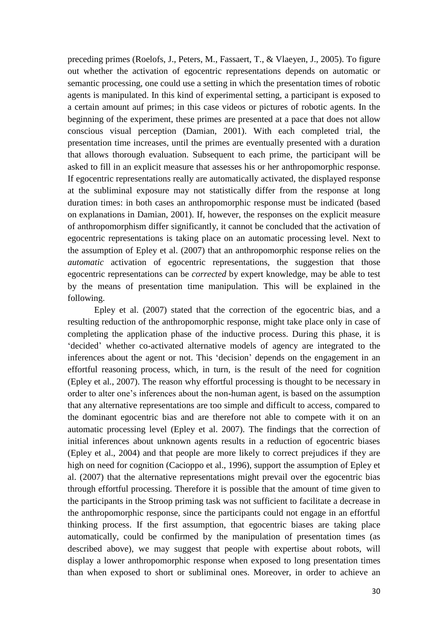preceding primes (Roelofs, J., Peters, M., Fassaert, T., & Vlaeyen, J., 2005). To figure out whether the activation of egocentric representations depends on automatic or semantic processing, one could use a setting in which the presentation times of robotic agents is manipulated. In this kind of experimental setting, a participant is exposed to a certain amount auf primes; in this case videos or pictures of robotic agents. In the beginning of the experiment, these primes are presented at a pace that does not allow conscious visual perception (Damian, 2001). With each completed trial, the presentation time increases, until the primes are eventually presented with a duration that allows thorough evaluation. Subsequent to each prime, the participant will be asked to fill in an explicit measure that assesses his or her anthropomorphic response. If egocentric representations really are automatically activated, the displayed response at the subliminal exposure may not statistically differ from the response at long duration times: in both cases an anthropomorphic response must be indicated (based on explanations in Damian, 2001). If, however, the responses on the explicit measure of anthropomorphism differ significantly, it cannot be concluded that the activation of egocentric representations is taking place on an automatic processing level. Next to the assumption of Epley et al. (2007) that an anthropomorphic response relies on the *automatic* activation of egocentric representations, the suggestion that those egocentric representations can be *corrected* by expert knowledge, may be able to test by the means of presentation time manipulation. This will be explained in the following.

Epley et al. (2007) stated that the correction of the egocentric bias, and a resulting reduction of the anthropomorphic response, might take place only in case of completing the application phase of the inductive process. During this phase, it is 'decided' whether co-activated alternative models of agency are integrated to the inferences about the agent or not. This 'decision' depends on the engagement in an effortful reasoning process, which, in turn, is the result of the need for cognition (Epley et al., 2007). The reason why effortful processing is thought to be necessary in order to alter one's inferences about the non-human agent, is based on the assumption that any alternative representations are too simple and difficult to access, compared to the dominant egocentric bias and are therefore not able to compete with it on an automatic processing level (Epley et al. 2007). The findings that the correction of initial inferences about unknown agents results in a reduction of egocentric biases (Epley et al., 2004) and that people are more likely to correct prejudices if they are high on need for cognition (Cacioppo et al., 1996), support the assumption of Epley et al. (2007) that the alternative representations might prevail over the egocentric bias through effortful processing. Therefore it is possible that the amount of time given to the participants in the Stroop priming task was not sufficient to facilitate a decrease in the anthropomorphic response, since the participants could not engage in an effortful thinking process. If the first assumption, that egocentric biases are taking place automatically, could be confirmed by the manipulation of presentation times (as described above), we may suggest that people with expertise about robots, will display a lower anthropomorphic response when exposed to long presentation times than when exposed to short or subliminal ones. Moreover, in order to achieve an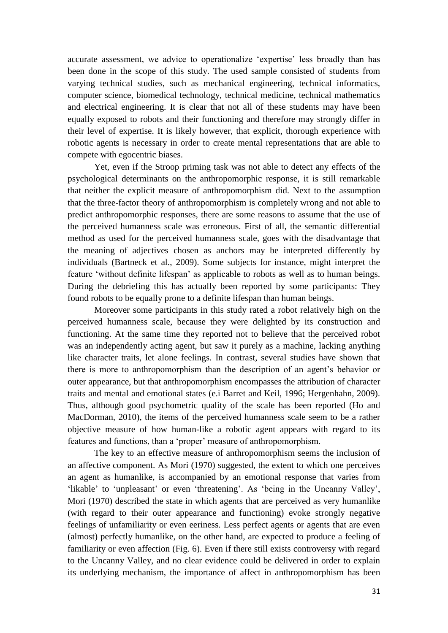accurate assessment, we advice to operationalize 'expertise' less broadly than has been done in the scope of this study. The used sample consisted of students from varying technical studies, such as mechanical engineering, technical informatics, computer science, biomedical technology, technical medicine, technical mathematics and electrical engineering. It is clear that not all of these students may have been equally exposed to robots and their functioning and therefore may strongly differ in their level of expertise. It is likely however, that explicit, thorough experience with robotic agents is necessary in order to create mental representations that are able to compete with egocentric biases.

Yet, even if the Stroop priming task was not able to detect any effects of the psychological determinants on the anthropomorphic response, it is still remarkable that neither the explicit measure of anthropomorphism did. Next to the assumption that the three-factor theory of anthropomorphism is completely wrong and not able to predict anthropomorphic responses, there are some reasons to assume that the use of the perceived humanness scale was erroneous. First of all, the semantic differential method as used for the perceived humanness scale, goes with the disadvantage that the meaning of adjectives chosen as anchors may be interpreted differently by individuals (Bartneck et al., 2009). Some subjects for instance, might interpret the feature 'without definite lifespan' as applicable to robots as well as to human beings. During the debriefing this has actually been reported by some participants: They found robots to be equally prone to a definite lifespan than human beings.

Moreover some participants in this study rated a robot relatively high on the perceived humanness scale, because they were delighted by its construction and functioning. At the same time they reported not to believe that the perceived robot was an independently acting agent, but saw it purely as a machine, lacking anything like character traits, let alone feelings. In contrast, several studies have shown that there is more to anthropomorphism than the description of an agent's behavior or outer appearance, but that anthropomorphism encompasses the attribution of character traits and mental and emotional states (e.i Barret and Keil, 1996; Hergenhahn, 2009). Thus, although good psychometric quality of the scale has been reported (Ho and MacDorman, 2010), the items of the perceived humanness scale seem to be a rather objective measure of how human-like a robotic agent appears with regard to its features and functions, than a 'proper' measure of anthropomorphism.

The key to an effective measure of anthropomorphism seems the inclusion of an affective component. As Mori (1970) suggested, the extent to which one perceives an agent as humanlike, is accompanied by an emotional response that varies from 'likable' to 'unpleasant' or even 'threatening'. As 'being in the Uncanny Valley', Mori (1970) described the state in which agents that are perceived as very humanlike (with regard to their outer appearance and functioning) evoke strongly negative feelings of unfamiliarity or even eeriness. Less perfect agents or agents that are even (almost) perfectly humanlike, on the other hand, are expected to produce a feeling of familiarity or even affection (Fig. 6). Even if there still exists controversy with regard to the Uncanny Valley, and no clear evidence could be delivered in order to explain its underlying mechanism, the importance of affect in anthropomorphism has been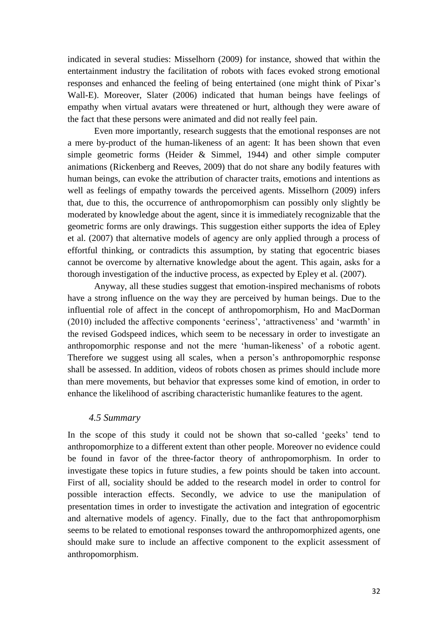indicated in several studies: Misselhorn (2009) for instance, showed that within the entertainment industry the facilitation of robots with faces evoked strong emotional responses and enhanced the feeling of being entertained (one might think of Pixar's Wall-E). Moreover, Slater (2006) indicated that human beings have feelings of empathy when virtual avatars were threatened or hurt, although they were aware of the fact that these persons were animated and did not really feel pain.

Even more importantly, research suggests that the emotional responses are not a mere by-product of the human-likeness of an agent: It has been shown that even simple geometric forms (Heider & Simmel, 1944) and other simple computer animations (Rickenberg and Reeves, 2009) that do not share any bodily features with human beings, can evoke the attribution of character traits, emotions and intentions as well as feelings of empathy towards the perceived agents. Misselhorn (2009) infers that, due to this, the occurrence of anthropomorphism can possibly only slightly be moderated by knowledge about the agent, since it is immediately recognizable that the geometric forms are only drawings. This suggestion either supports the idea of Epley et al. (2007) that alternative models of agency are only applied through a process of effortful thinking, or contradicts this assumption, by stating that egocentric biases cannot be overcome by alternative knowledge about the agent. This again, asks for a thorough investigation of the inductive process, as expected by Epley et al. (2007).

Anyway, all these studies suggest that emotion-inspired mechanisms of robots have a strong influence on the way they are perceived by human beings. Due to the influential role of affect in the concept of anthropomorphism, Ho and MacDorman (2010) included the affective components 'eeriness', 'attractiveness' and 'warmth' in the revised Godspeed indices, which seem to be necessary in order to investigate an anthropomorphic response and not the mere 'human-likeness' of a robotic agent. Therefore we suggest using all scales, when a person's anthropomorphic response shall be assessed. In addition, videos of robots chosen as primes should include more than mere movements, but behavior that expresses some kind of emotion, in order to enhance the likelihood of ascribing characteristic humanlike features to the agent.

#### *4.5 Summary*

In the scope of this study it could not be shown that so-called 'geeks' tend to anthropomorphize to a different extent than other people. Moreover no evidence could be found in favor of the three-factor theory of anthropomorphism. In order to investigate these topics in future studies, a few points should be taken into account. First of all, sociality should be added to the research model in order to control for possible interaction effects. Secondly, we advice to use the manipulation of presentation times in order to investigate the activation and integration of egocentric and alternative models of agency. Finally, due to the fact that anthropomorphism seems to be related to emotional responses toward the anthropomorphized agents, one should make sure to include an affective component to the explicit assessment of anthropomorphism.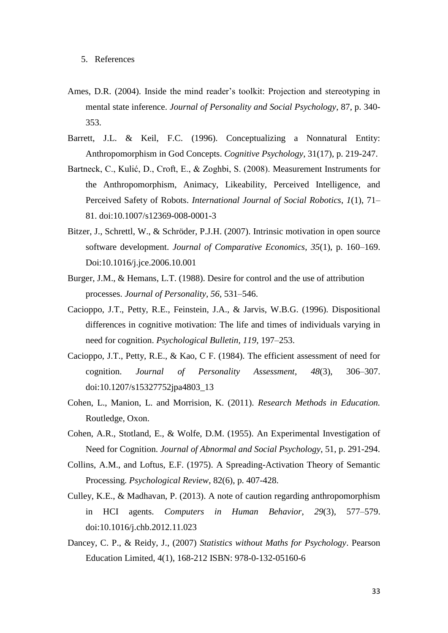- Ames, D.R. (2004). Inside the mind reader's toolkit: Projection and stereotyping in mental state inference. *Journal of Personality and Social Psychology*, 87, p. 340- 353.
- Barrett, J.L. & Keil, F.C. (1996). Conceptualizing a Nonnatural Entity: Anthropomorphism in God Concepts. *Cognitive Psychology*, 31(17), p. 219-247.
- Bartneck, C., Kulić, D., Croft, E., & Zoghbi, S. (2008). Measurement Instruments for the Anthropomorphism, Animacy, Likeability, Perceived Intelligence, and Perceived Safety of Robots. *International Journal of Social Robotics*, *1*(1), 71– 81. doi:10.1007/s12369-008-0001-3
- Bitzer, J., Schrettl, W., & Schröder, P.J.H. (2007). Intrinsic motivation in open source software development. *Journal of Comparative Economics*, *35*(1), p. 160–169. Doi:10.1016/j.jce.2006.10.001
- Burger, J.M., & Hemans, L.T. (1988). Desire for control and the use of attribution processes. *Journal of Personality, 56,* 531–546.
- Cacioppo, J.T., Petty, R.E., Feinstein, J.A., & Jarvis, W.B.G. (1996). Dispositional differences in cognitive motivation: The life and times of individuals varying in need for cognition. *Psychological Bulletin, 119,* 197–253.
- Cacioppo, J.T., Petty, R.E., & Kao, C F. (1984). The efficient assessment of need for cognition. *Journal of Personality Assessment*, *48*(3), 306–307. doi:10.1207/s15327752jpa4803\_13
- Cohen, L., Manion, L. and Morrision, K. (2011). *Research Methods in Education.* Routledge, Oxon.
- Cohen, A.R., Stotland, E., & Wolfe, D.M. (1955). An Experimental Investigation of Need for Cognition. *Journal of Abnormal and Social Psychology*, 51, p. 291-294.
- Collins, A.M., and Loftus, E.F. (1975). A Spreading-Activation Theory of Semantic Processing. *Psychological Review*, 82(6), p. 407-428.
- Culley, K.E., & Madhavan, P. (2013). A note of caution regarding anthropomorphism in HCI agents. *Computers in Human Behavior*, *29*(3), 577–579. doi:10.1016/j.chb.2012.11.023
- Dancey, C. P., & Reidy, J., (2007) *Statistics without Maths for Psychology*. Pearson Education Limited, 4(1), 168-212 ISBN: 978-0-132-05160-6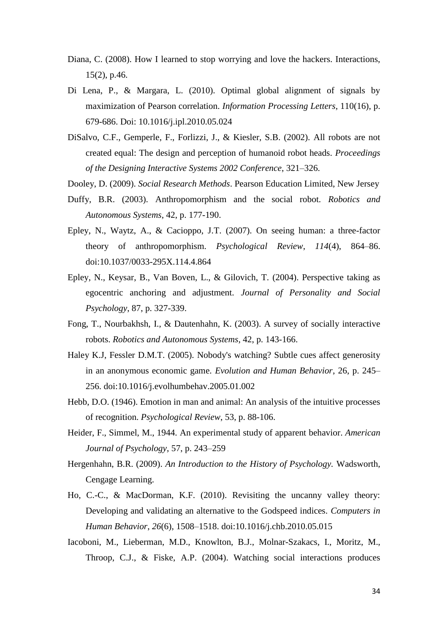- Diana, C. (2008). How I learned to stop worrying and love the hackers. Interactions, 15(2), p.46.
- Di Lena, P., & Margara, L. (2010). Optimal global alignment of signals by maximization of Pearson correlation. *Information Processing Letters*, 110(16), p. 679-686. Doi: 10.1016/j.ipl.2010.05.024
- DiSalvo, C.F., Gemperle, F., Forlizzi, J., & Kiesler, S.B. (2002). All robots are not created equal: The design and perception of humanoid robot heads. *Proceedings of the Designing Interactive Systems 2002 Conference*, 321–326.
- Dooley, D. (2009). *Social Research Methods*. Pearson Education Limited, New Jersey
- Duffy, B.R. (2003). Anthropomorphism and the social robot. *Robotics and Autonomous Systems*, 42, p. 177-190.
- Epley, N., Waytz, A., & Cacioppo, J.T. (2007). On seeing human: a three-factor theory of anthropomorphism. *Psychological Review*, *114*(4), 864–86. doi:10.1037/0033-295X.114.4.864
- Epley, N., Keysar, B., Van Boven, L., & Gilovich, T. (2004). Perspective taking as egocentric anchoring and adjustment. *Journal of Personality and Social Psychology*, 87, p. 327-339.
- Fong, T., Nourbakhsh, I., & Dautenhahn, K. (2003). A survey of socially interactive robots. *Robotics and Autonomous Systems*, 42, p. 143-166.
- Haley K.J, Fessler D.M.T. (2005). Nobody's watching? Subtle cues affect generosity in an anonymous economic game. *Evolution and Human Behavior*, 26, p. 245– 256. doi:10.1016/j.evolhumbehav.2005.01.002
- Hebb, D.O. (1946). Emotion in man and animal: An analysis of the intuitive processes of recognition. *Psychological Review*, 53, p. 88-106.
- Heider, F., Simmel, M., 1944. An experimental study of apparent behavior. *American Journal of Psychology*, 57, p. 243–259
- Hergenhahn, B.R. (2009). *An Introduction to the History of Psychology.* Wadsworth, Cengage Learning.
- Ho, C.-C., & MacDorman, K.F. (2010). Revisiting the uncanny valley theory: Developing and validating an alternative to the Godspeed indices. *Computers in Human Behavior*, *26*(6), 1508–1518. doi:10.1016/j.chb.2010.05.015
- Iacoboni, M., Lieberman, M.D., Knowlton, B.J., Molnar-Szakacs, I., Moritz, M., Throop, C.J., & Fiske, A.P. (2004). Watching social interactions produces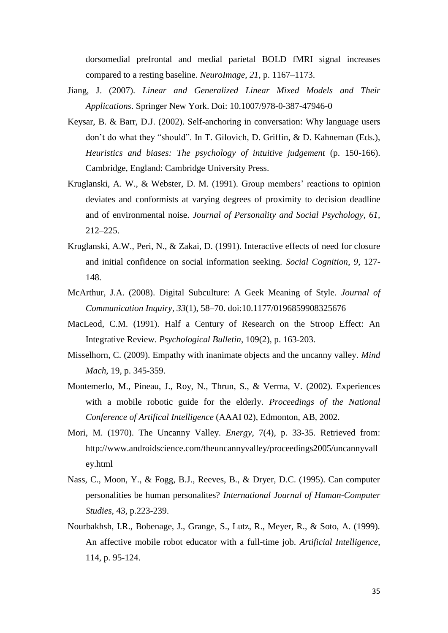dorsomedial prefrontal and medial parietal BOLD fMRI signal increases compared to a resting baseline. *NeuroImage, 21,* p. 1167–1173.

- Jiang, J. (2007). *Linear and Generalized Linear Mixed Models and Their Applications*. Springer New York. Doi: 10.1007/978-0-387-47946-0
- Keysar, B. & Barr, D.J. (2002). Self-anchoring in conversation: Why language users don't do what they "should". In T. Gilovich, D. Griffin, & D. Kahneman (Eds.), *Heuristics and biases: The psychology of intuitive judgement* (p. 150-166). Cambridge, England: Cambridge University Press.
- Kruglanski, A. W., & Webster, D. M. (1991). Group members' reactions to opinion deviates and conformists at varying degrees of proximity to decision deadline and of environmental noise. *Journal of Personality and Social Psychology, 61,*  212–225.
- Kruglanski, A.W., Peri, N., & Zakai, D. (1991). Interactive effects of need for closure and initial confidence on social information seeking. *Social Cognition*, *9*, 127- 148.
- McArthur, J.A. (2008). Digital Subculture: A Geek Meaning of Style. *Journal of Communication Inquiry*, *33*(1), 58–70. doi:10.1177/0196859908325676
- MacLeod, C.M. (1991). Half a Century of Research on the Stroop Effect: An Integrative Review. *Psychological Bulletin*, 109(2), p. 163-203.
- Misselhorn, C. (2009). Empathy with inanimate objects and the uncanny valley. *Mind Mach*, 19, p. 345-359.
- Montemerlo, M., Pineau, J., Roy, N., Thrun, S., & Verma, V. (2002). Experiences with a mobile robotic guide for the elderly. *Proceedings of the National Conference of Artifical Intelligence* (AAAI 02), Edmonton, AB, 2002.
- Mori, M. (1970). The Uncanny Valley. *Energy*, 7(4), p. 33-35. Retrieved from: [http://www.androidscience.com/theuncannyvalley/proceedings2005/uncannyvall](http://www.androidscience.com/theuncannyvalley/proceedings2005/uncannyvalley.html) [ey.html](http://www.androidscience.com/theuncannyvalley/proceedings2005/uncannyvalley.html)
- Nass, C., Moon, Y., & Fogg, B.J., Reeves, B., & Dryer, D.C. (1995). Can computer personalities be human personalites? *International Journal of Human-Computer Studies*, 43, p.223-239.
- Nourbakhsh, I.R., Bobenage, J., Grange, S., Lutz, R., Meyer, R., & Soto, A. (1999). An affective mobile robot educator with a full-time job. *Artificial Intelligence*, 114, p. 95-124.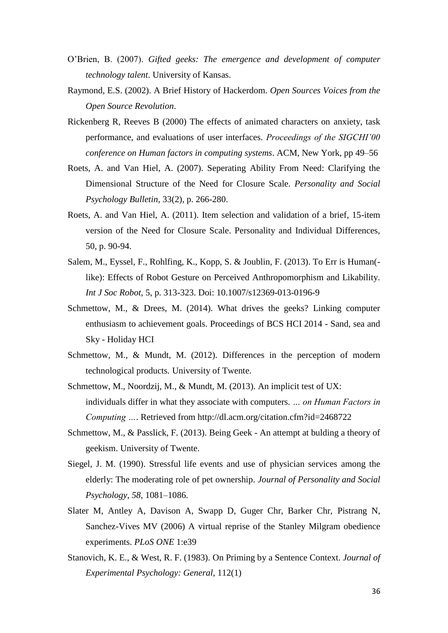- O'Brien, B. (2007). *Gifted geeks: The emergence and development of computer technology talent*. University of Kansas.
- Raymond, E.S. (2002). A Brief History of Hackerdom. *Open Sources Voices from the Open Source Revolution*.
- Rickenberg R, Reeves B (2000) The effects of animated characters on anxiety, task performance, and evaluations of user interfaces. *Proceedings of the SIGCHI'00 conference on Human factors in computing systems*. ACM, New York, pp 49–56
- Roets, A. and Van Hiel, A. (2007). Seperating Ability From Need: Clarifying the Dimensional Structure of the Need for Closure Scale. *Personality and Social Psychology Bulletin*, 33(2), p. 266-280.
- Roets, A. and Van Hiel, A. (2011). Item selection and validation of a brief, 15-item version of the Need for Closure Scale. Personality and Individual Differences, 50, p. 90-94.
- Salem, M., Eyssel, F., Rohlfing, K., Kopp, S. & Joublin, F. (2013). To Err is Human( like): Effects of Robot Gesture on Perceived Anthropomorphism and Likability. *Int J Soc Robot*, 5, p. 313-323. Doi: 10.1007/s12369-013-0196-9
- Schmettow, M., & Drees, M. (2014). What drives the geeks? Linking computer enthusiasm to achievement goals. Proceedings of BCS HCI 2014 - Sand, sea and Sky - Holiday HCI
- Schmettow, M., & Mundt, M. (2012). Differences in the perception of modern technological products*.* University of Twente.
- Schmettow, M., Noordzij, M., & Mundt, M. (2013). An implicit test of UX: individuals differ in what they associate with computers. *… on Human Factors in Computing …*. Retrieved from http://dl.acm.org/citation.cfm?id=2468722
- Schmettow, M., & Passlick, F. (2013). Being Geek An attempt at bulding a theory of geekism. University of Twente.
- Siegel, J. M. (1990). Stressful life events and use of physician services among the elderly: The moderating role of pet ownership. *Journal of Personality and Social Psychology, 58,* 1081–1086.
- Slater M, Antley A, Davison A, Swapp D, Guger Chr, Barker Chr, Pistrang N, Sanchez-Vives MV (2006) A virtual reprise of the Stanley Milgram obedience experiments. *PLoS ONE* 1:e39
- Stanovich, K. E., & West, R. F. (1983). On Priming by a Sentence Context. *Journal of Experimental Psychology: General*, 112(1)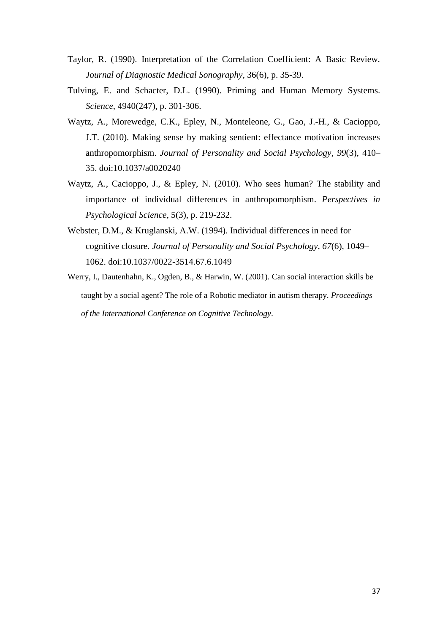- Taylor, R. (1990). Interpretation of the Correlation Coefficient: A Basic Review. *Journal of Diagnostic Medical Sonography*, 36(6), p. 35-39.
- Tulving, E. and Schacter, D.L. (1990). Priming and Human Memory Systems. *Science*, 4940(247), p. 301-306.
- Waytz, A., Morewedge, C.K., Epley, N., Monteleone, G., Gao, J.-H., & Cacioppo, J.T. (2010). Making sense by making sentient: effectance motivation increases anthropomorphism. *Journal of Personality and Social Psychology*, *99*(3), 410– 35. doi:10.1037/a0020240
- Waytz, A., Cacioppo, J., & Epley, N. (2010). Who sees human? The stability and importance of individual differences in anthropomorphism. *Perspectives in Psychological Science*, 5(3), p. 219-232.
- Webster, D.M., & Kruglanski, A.W. (1994). Individual differences in need for cognitive closure. *Journal of Personality and Social Psychology*, *67*(6), 1049– 1062. doi:10.1037/0022-3514.67.6.1049
- Werry, I., Dautenhahn, K., Ogden, B., & Harwin, W. (2001). Can social interaction skills be taught by a social agent? The role of a Robotic mediator in autism therapy. *Proceedings of the International Conference on Cognitive Technology*.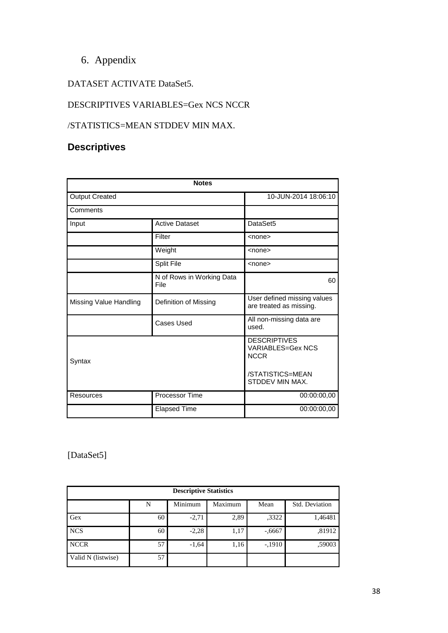# 6. Appendix

## DATASET ACTIVATE DataSet5.

## DESCRIPTIVES VARIABLES=Gex NCS NCCR

### /STATISTICS=MEAN STDDEV MIN MAX.

# **Descriptives**

|                        | <b>Notes</b>          |                                                                |  |
|------------------------|-----------------------|----------------------------------------------------------------|--|
| <b>Output Created</b>  | 10-JUN-2014 18:06:10  |                                                                |  |
| Comments               |                       |                                                                |  |
| Input                  | <b>Active Dataset</b> | DataSet5                                                       |  |
|                        | Filter                | $none$                                                         |  |
|                        | $none$                |                                                                |  |
|                        | <none></none>         |                                                                |  |
|                        | 60                    |                                                                |  |
| Missing Value Handling | Definition of Missing | User defined missing values<br>are treated as missing.         |  |
| Cases Used             |                       | All non-missing data are<br>used.                              |  |
| Syntax                 |                       | <b>DESCRIPTIVES</b><br><b>VARIABLES=Gex NCS</b><br><b>NCCR</b> |  |
|                        |                       | /STATISTICS=MEAN<br>STDDEV MIN MAX.                            |  |
| <b>Resources</b>       | Processor Time        | 00:00:00,00                                                    |  |
|                        | <b>Elapsed Time</b>   |                                                                |  |

### [DataSet5]

| <b>Descriptive Statistics</b> |    |         |         |          |                |  |
|-------------------------------|----|---------|---------|----------|----------------|--|
|                               | N  | Minimum | Maximum | Mean     | Std. Deviation |  |
| Gex                           | 60 | $-2,71$ | 2,89    | ,3322    | 1,46481        |  |
| <b>NCS</b>                    | 60 | $-2,28$ | 1,17    | $-.6667$ | ,81912         |  |
| <b>NCCR</b>                   | 57 | $-1,64$ | 1,16    | $-.1910$ | ,59003         |  |
| Valid N (listwise)            | 57 |         |         |          |                |  |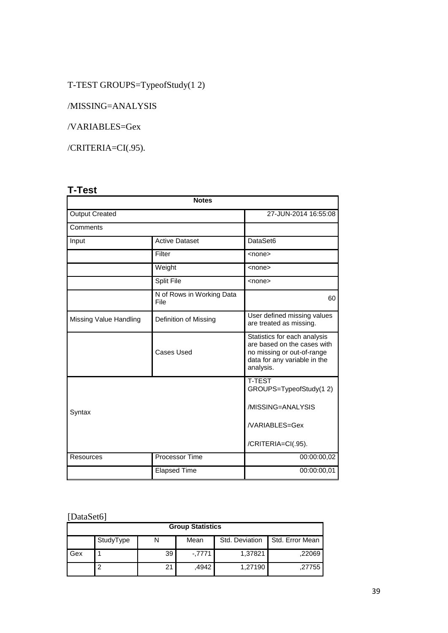# T-TEST GROUPS=TypeofStudy(1 2)

/MISSING=ANALYSIS

/VARIABLES=Gex

/CRITERIA=CI(.95).

# **T-Test**

| <b>Notes</b>                                    |                       |                                                                                                                                        |  |  |  |
|-------------------------------------------------|-----------------------|----------------------------------------------------------------------------------------------------------------------------------------|--|--|--|
| <b>Output Created</b>                           |                       | 27-JUN-2014 16:55:08                                                                                                                   |  |  |  |
| Comments                                        |                       |                                                                                                                                        |  |  |  |
| Input                                           | <b>Active Dataset</b> | DataSet6                                                                                                                               |  |  |  |
|                                                 | Filter                | <none></none>                                                                                                                          |  |  |  |
|                                                 | Weight                | $nonez$                                                                                                                                |  |  |  |
|                                                 | Split File            | <none></none>                                                                                                                          |  |  |  |
| N of Rows in Working Data<br>File               |                       | 60                                                                                                                                     |  |  |  |
| Missing Value Handling<br>Definition of Missing |                       | User defined missing values<br>are treated as missing.                                                                                 |  |  |  |
|                                                 | Cases Used            | Statistics for each analysis<br>are based on the cases with<br>no missing or out-of-range<br>data for any variable in the<br>analysis. |  |  |  |
|                                                 |                       | <b>T-TEST</b><br>GROUPS=TypeofStudy(12)                                                                                                |  |  |  |
| Syntax                                          |                       | /MISSING=ANALYSIS                                                                                                                      |  |  |  |
|                                                 | /VARIABLES=Gex        |                                                                                                                                        |  |  |  |
|                                                 |                       | /CRITERIA=CI(.95).                                                                                                                     |  |  |  |
| Resources                                       | Processor Time        | 00:00:00,02                                                                                                                            |  |  |  |
|                                                 | <b>Elapsed Time</b>   | 00:00:00,01                                                                                                                            |  |  |  |

# [DataSet6]

| <b>Group Statistics</b> |           |    |          |                |                 |  |
|-------------------------|-----------|----|----------|----------------|-----------------|--|
|                         | StudyType | N  | Mean     | Std. Deviation | Std. Error Mean |  |
| Gex                     |           | 39 | $-.7771$ | 1,37821        | .22069          |  |
|                         | ົ         | 21 | .4942    | 1.27190        | .27755          |  |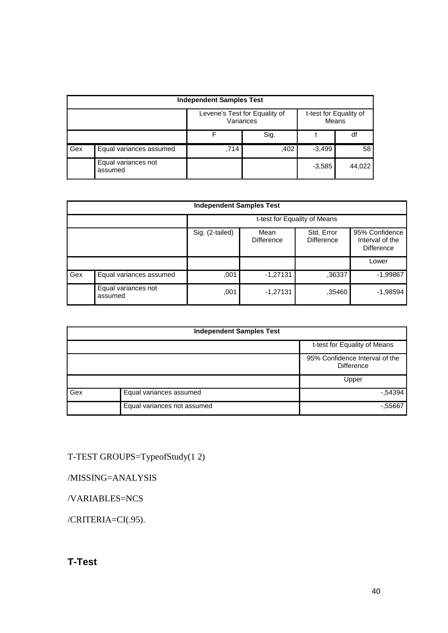|     | <b>Independent Samples Test</b> |                                            |      |                                 |        |  |
|-----|---------------------------------|--------------------------------------------|------|---------------------------------|--------|--|
|     |                                 | Levene's Test for Equality of<br>Variances |      | t-test for Equality of<br>Means |        |  |
|     |                                 |                                            | Sig. |                                 | df     |  |
| Gex | Equal variances assumed         | ,714                                       | ,402 | $-3,499$                        | 58     |  |
|     | Equal variances not<br>assumed  |                                            |      | $-3,585$                        | 44,022 |  |

|     | <b>Independent Samples Test</b> |                                                                                                   |            |        |            |  |  |
|-----|---------------------------------|---------------------------------------------------------------------------------------------------|------------|--------|------------|--|--|
|     |                                 | t-test for Equality of Means                                                                      |            |        |            |  |  |
|     |                                 | 95% Confidence<br>Std. Error<br>Sig. (2-tailed)<br>Mean<br><b>Difference</b><br><b>Difference</b> |            |        |            |  |  |
|     |                                 |                                                                                                   |            | Lower  |            |  |  |
| Gex | Equal variances assumed         | ,001                                                                                              | $-1,27131$ | ,36337 | $-1,99867$ |  |  |
|     | Equal variances not<br>assumed  | ,001                                                                                              | $-1,27131$ | ,35460 | $-1,98594$ |  |  |

| <b>Independent Samples Test</b> |                             |                                                     |  |  |
|---------------------------------|-----------------------------|-----------------------------------------------------|--|--|
| t-test for Equality of Means    |                             |                                                     |  |  |
|                                 |                             | 95% Confidence Interval of the<br><b>Difference</b> |  |  |
|                                 | Upper                       |                                                     |  |  |
| Gex                             | Equal variances assumed     | $-54394$                                            |  |  |
|                                 | Equal variances not assumed | $-0.55667$                                          |  |  |

T-TEST GROUPS=TypeofStudy(1 2)

/MISSING=ANALYSIS

/VARIABLES=NCS

/CRITERIA=CI(.95).

# **T-Test**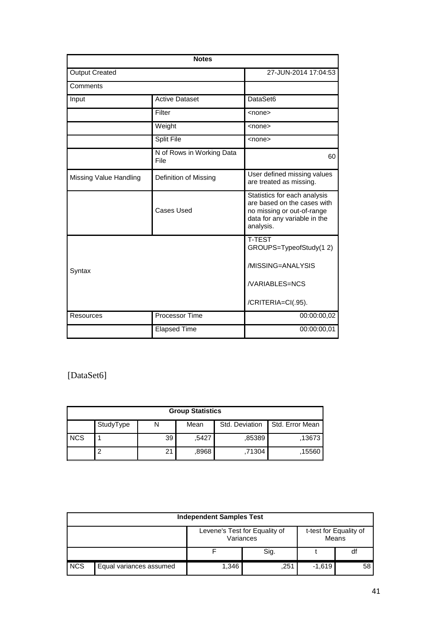|                        | <b>Notes</b>                      |                                                                                                                                        |  |  |  |
|------------------------|-----------------------------------|----------------------------------------------------------------------------------------------------------------------------------------|--|--|--|
| <b>Output Created</b>  |                                   | 27-JUN-2014 17:04:53                                                                                                                   |  |  |  |
| Comments               |                                   |                                                                                                                                        |  |  |  |
| Input                  | <b>Active Dataset</b>             | DataSet6                                                                                                                               |  |  |  |
|                        | Filter                            | <none></none>                                                                                                                          |  |  |  |
|                        | Weight                            | <none></none>                                                                                                                          |  |  |  |
|                        | Split File                        | <none></none>                                                                                                                          |  |  |  |
|                        | N of Rows in Working Data<br>File | 60                                                                                                                                     |  |  |  |
| Missing Value Handling | Definition of Missing             | User defined missing values<br>are treated as missing.                                                                                 |  |  |  |
|                        | Cases Used                        | Statistics for each analysis<br>are based on the cases with<br>no missing or out-of-range<br>data for any variable in the<br>analysis. |  |  |  |
|                        |                                   | <b>T-TEST</b><br>GROUPS=TypeofStudy(12)                                                                                                |  |  |  |
| Syntax                 | /MISSING=ANALYSIS                 |                                                                                                                                        |  |  |  |
|                        |                                   | /VARIABLES=NCS                                                                                                                         |  |  |  |
|                        |                                   | /CRITERIA=CI(.95).                                                                                                                     |  |  |  |
| <b>Resources</b>       | Processor Time                    | 00:00:00,02                                                                                                                            |  |  |  |
|                        | <b>Elapsed Time</b>               | 00:00:00,01                                                                                                                            |  |  |  |

# [DataSet6]

| <b>Group Statistics</b> |           |    |       |                |                 |  |
|-------------------------|-----------|----|-------|----------------|-----------------|--|
|                         | StudyType | N  | Mean  | Std. Deviation | Std. Error Mean |  |
| <b>NCS</b>              |           | 39 | .5427 | .85389         | .13673          |  |
|                         |           | 21 | .8968 | ,71304         | .15560          |  |

|            | <b>Independent Samples Test</b> |       |                                            |          |                                 |  |
|------------|---------------------------------|-------|--------------------------------------------|----------|---------------------------------|--|
|            |                                 |       | Levene's Test for Equality of<br>Variances |          | t-test for Equality of<br>Means |  |
|            |                                 |       | Sig.                                       |          | df                              |  |
| <b>NCS</b> | Equal variances assumed         | 1,346 | ,251                                       | $-1,619$ | 58                              |  |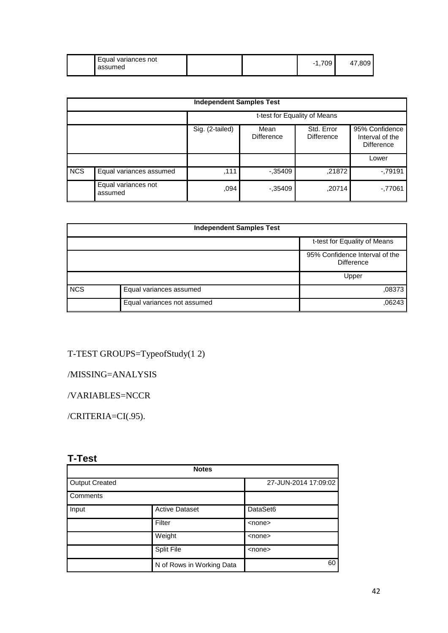|  | Equal variances not<br>assumed |  | 700<br>∪ะ<br>-<br>. . | ωı |
|--|--------------------------------|--|-----------------------|----|
|--|--------------------------------|--|-----------------------|----|

|            | <b>Independent Samples Test</b> |                              |                           |                                 |                                                        |  |  |  |
|------------|---------------------------------|------------------------------|---------------------------|---------------------------------|--------------------------------------------------------|--|--|--|
|            |                                 | t-test for Equality of Means |                           |                                 |                                                        |  |  |  |
|            |                                 | Sig. (2-tailed)              | Mean<br><b>Difference</b> | Std. Error<br><b>Difference</b> | 95% Confidence<br>Interval of the<br><b>Difference</b> |  |  |  |
|            |                                 |                              |                           |                                 | Lower                                                  |  |  |  |
| <b>NCS</b> | Equal variances assumed         | .111                         | $-0.35409$                | ,21872                          | $-79191$                                               |  |  |  |
|            | Equal variances not<br>assumed  | .094                         | $-.35409$                 | ,20714                          | $-77061$                                               |  |  |  |

| <b>Independent Samples Test</b> |                             |                                                     |  |  |
|---------------------------------|-----------------------------|-----------------------------------------------------|--|--|
|                                 |                             | t-test for Equality of Means                        |  |  |
|                                 |                             | 95% Confidence Interval of the<br><b>Difference</b> |  |  |
|                                 |                             | Upper                                               |  |  |
| <b>NCS</b>                      | Equal variances assumed     | ,08373                                              |  |  |
|                                 | Equal variances not assumed | .06243                                              |  |  |

# T-TEST GROUPS=TypeofStudy(1 2)

/MISSING=ANALYSIS

/VARIABLES=NCCR

/CRITERIA=CI(.95).

# **T-Test**

|                       | <b>Notes</b>              |                      |
|-----------------------|---------------------------|----------------------|
| <b>Output Created</b> |                           | 27-JUN-2014 17:09:02 |
| Comments              |                           |                      |
| Input                 | <b>Active Dataset</b>     | DataSet6             |
|                       | Filter                    | $none$               |
|                       | Weight                    | $none$               |
|                       | Split File                | $none$               |
|                       | N of Rows in Working Data | 60                   |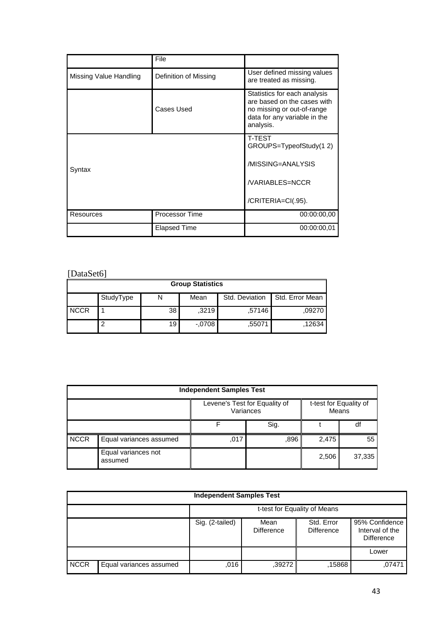|                        | File                  |                                                                                                                                        |
|------------------------|-----------------------|----------------------------------------------------------------------------------------------------------------------------------------|
| Missing Value Handling | Definition of Missing | User defined missing values<br>are treated as missing.                                                                                 |
|                        | Cases Used            | Statistics for each analysis<br>are based on the cases with<br>no missing or out-of-range<br>data for any variable in the<br>analysis. |
|                        |                       | <b>T-TEST</b><br>GROUPS=TypeofStudy(12)                                                                                                |
| Syntax                 |                       | /MISSING=ANALYSIS                                                                                                                      |
|                        |                       | /VARIABLES=NCCR                                                                                                                        |
|                        |                       | /CRITERIA=CI(.95).                                                                                                                     |
| Resources              | Processor Time        | 00:00:00,00                                                                                                                            |
|                        | <b>Elapsed Time</b>   | 00:00:00.01                                                                                                                            |

# [DataSet6]

| <b>Group Statistics</b> |           |    |          |                |                 |  |
|-------------------------|-----------|----|----------|----------------|-----------------|--|
|                         | StudyType |    | Mean     | Std. Deviation | Std. Error Mean |  |
| <b>NCCR</b>             |           | 38 | ,3219    | .57146         | .09270          |  |
|                         | 2         | 19 | $-.0708$ | .55071         | .12634          |  |

|             | <b>Independent Samples Test</b> |                                                                               |      |       |        |  |  |  |
|-------------|---------------------------------|-------------------------------------------------------------------------------|------|-------|--------|--|--|--|
|             |                                 | Levene's Test for Equality of<br>t-test for Equality of<br>Variances<br>Means |      |       |        |  |  |  |
|             |                                 |                                                                               |      | df    |        |  |  |  |
| <b>NCCR</b> | Equal variances assumed         | ,017                                                                          | .896 | 2,475 | 55     |  |  |  |
|             | Equal variances not<br>assumed  |                                                                               |      | 2,506 | 37,335 |  |  |  |

| <b>Independent Samples Test</b> |                         |                                                                                                                                           |        |        |        |  |
|---------------------------------|-------------------------|-------------------------------------------------------------------------------------------------------------------------------------------|--------|--------|--------|--|
|                                 |                         | t-test for Equality of Means                                                                                                              |        |        |        |  |
|                                 |                         | 95% Confidence<br>Sig. (2-tailed)<br>Std. Error<br>Mean<br>Interval of the<br><b>Difference</b><br><b>Difference</b><br><b>Difference</b> |        |        |        |  |
|                                 |                         |                                                                                                                                           |        |        | Lower  |  |
| <b>NCCR</b>                     | Equal variances assumed | ,016                                                                                                                                      | ,39272 | .15868 | .07471 |  |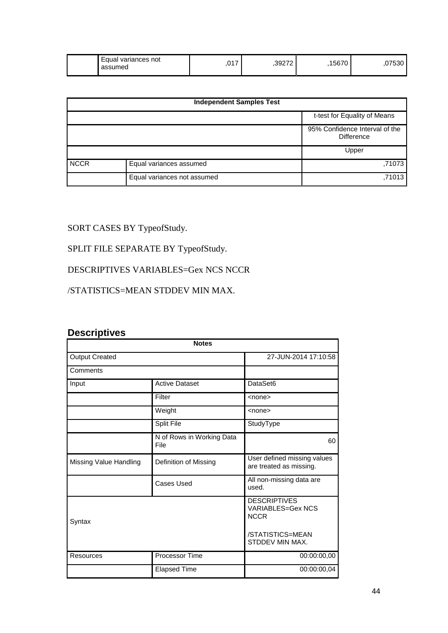| Equal<br>variances not<br>assumed | ,017 | .39272 | 1567 <sup>°</sup> | 710,<br>ັບບບ |
|-----------------------------------|------|--------|-------------------|--------------|
|-----------------------------------|------|--------|-------------------|--------------|

| <b>Independent Samples Test</b> |                             |                                                     |  |  |
|---------------------------------|-----------------------------|-----------------------------------------------------|--|--|
|                                 |                             | t-test for Equality of Means                        |  |  |
|                                 |                             | 95% Confidence Interval of the<br><b>Difference</b> |  |  |
|                                 |                             | Upper                                               |  |  |
| <b>NCCR</b>                     | Equal variances assumed     | .71073                                              |  |  |
|                                 | Equal variances not assumed | ,71013                                              |  |  |

# SORT CASES BY TypeofStudy.

# SPLIT FILE SEPARATE BY TypeofStudy.

### DESCRIPTIVES VARIABLES=Gex NCS NCCR

### /STATISTICS=MEAN STDDEV MIN MAX.

### **Descriptives**

| <b>Notes</b>           |                                   |                                                                                                       |  |  |  |  |
|------------------------|-----------------------------------|-------------------------------------------------------------------------------------------------------|--|--|--|--|
| <b>Output Created</b>  | 27-JUN-2014 17:10:58              |                                                                                                       |  |  |  |  |
| Comments               |                                   |                                                                                                       |  |  |  |  |
| Input                  | <b>Active Dataset</b>             | DataSet6                                                                                              |  |  |  |  |
|                        | Filter                            | <none></none>                                                                                         |  |  |  |  |
|                        | Weight                            | <none></none>                                                                                         |  |  |  |  |
|                        | Split File                        | StudyType                                                                                             |  |  |  |  |
|                        | N of Rows in Working Data<br>File | 60                                                                                                    |  |  |  |  |
| Missing Value Handling | Definition of Missing             | User defined missing values<br>are treated as missing.                                                |  |  |  |  |
|                        | Cases Used                        | All non-missing data are<br>used.                                                                     |  |  |  |  |
| Syntax                 |                                   | <b>DESCRIPTIVES</b><br><b>VARIABLES=Gex NCS</b><br><b>NCCR</b><br>/STATISTICS=MEAN<br>STDDEV MIN MAX. |  |  |  |  |
| Resources              | <b>Processor Time</b>             | 00:00:00,00                                                                                           |  |  |  |  |
|                        | <b>Elapsed Time</b>               | 00:00:00,04                                                                                           |  |  |  |  |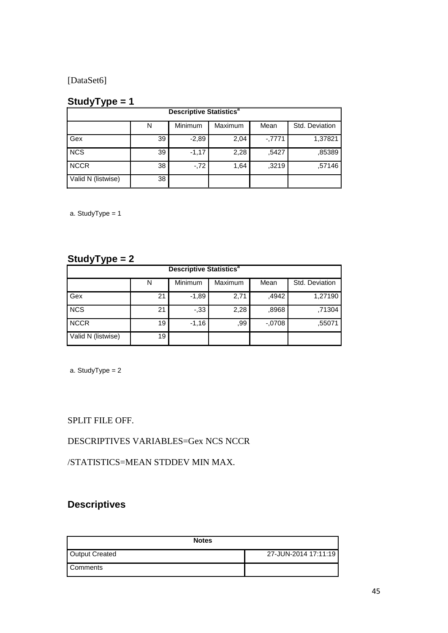[DataSet6]

# **StudyType = 1**

| <b>Descriptive Statistics<sup>a</sup></b> |    |         |         |         |                |  |
|-------------------------------------------|----|---------|---------|---------|----------------|--|
|                                           | Ν  | Minimum | Maximum | Mean    | Std. Deviation |  |
| Gex                                       | 39 | $-2,89$ | 2,04    | $-7771$ | 1,37821        |  |
| <b>NCS</b>                                | 39 | $-1,17$ | 2,28    | .5427   | ,85389         |  |
| <b>NCCR</b>                               | 38 | $-.72$  | 1,64    | .3219   | .57146         |  |
| Valid N (listwise)                        | 38 |         |         |         |                |  |

a. StudyType = 1

### **StudyType = 2**

| . .<br><b>Descriptive Statistics<sup>a</sup></b> |    |         |         |         |                |  |
|--------------------------------------------------|----|---------|---------|---------|----------------|--|
|                                                  | Ν  | Minimum | Maximum | Mean    | Std. Deviation |  |
| Gex                                              | 21 | $-1,89$ | 2,71    | ,4942   | 1,27190        |  |
| <b>NCS</b>                                       | 21 | $-0.33$ | 2,28    | .8968   | ,71304         |  |
| <b>NCCR</b>                                      | 19 | $-1,16$ | .99     | $-0708$ | ,55071         |  |
| Valid N (listwise)                               | 19 |         |         |         |                |  |

a. StudyType = 2

SPLIT FILE OFF.

DESCRIPTIVES VARIABLES=Gex NCS NCCR

/STATISTICS=MEAN STDDEV MIN MAX.

# **Descriptives**

| <b>Notes</b>   |                      |
|----------------|----------------------|
| Output Created | 27-JUN-2014 17:11:19 |
| Comments       |                      |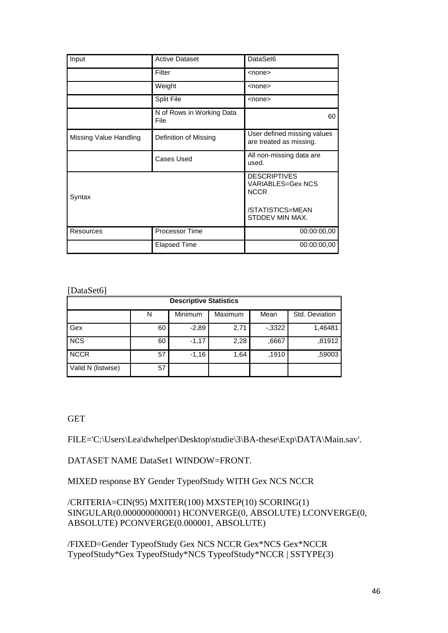| Input                  | <b>Active Dataset</b>             | DataSet6                                                       |
|------------------------|-----------------------------------|----------------------------------------------------------------|
|                        | Filter                            | <none></none>                                                  |
|                        | Weight                            | $nonez$                                                        |
|                        | Split File                        | <none></none>                                                  |
|                        | N of Rows in Working Data<br>File | 60                                                             |
| Missing Value Handling | Definition of Missing             | User defined missing values<br>are treated as missing.         |
|                        | Cases Used                        | All non-missing data are<br>used.                              |
| Syntax                 |                                   | <b>DESCRIPTIVES</b><br><b>VARIABLES=Gex NCS</b><br><b>NCCR</b> |
|                        |                                   | /STATISTICS=MEAN<br>STDDEV MIN MAX.                            |
| Resources              | Processor Time                    | 00:00:00,00                                                    |
|                        | Elapsed Time                      | 00:00:00,00                                                    |

### [DataSet6]

| <b>Descriptive Statistics</b> |    |         |         |         |                |  |
|-------------------------------|----|---------|---------|---------|----------------|--|
|                               | N  | Minimum | Maximum | Mean    | Std. Deviation |  |
| Gex                           | 60 | $-2,89$ | 2,71    | $-3322$ | 1,46481        |  |
| <b>NCS</b>                    | 60 | $-1,17$ | 2,28    | .6667   | .81912         |  |
| <b>NCCR</b>                   | 57 | $-1,16$ | 1,64    | .1910   | .59003         |  |
| Valid N (listwise)            | 57 |         |         |         |                |  |

**GET** 

FILE='C:\Users\Lea\dwhelper\Desktop\studie\3\BA-these\Exp\DATA\Main.sav'.

DATASET NAME DataSet1 WINDOW=FRONT.

MIXED response BY Gender TypeofStudy WITH Gex NCS NCCR

/CRITERIA=CIN(95) MXITER(100) MXSTEP(10) SCORING(1) SINGULAR(0.000000000001) HCONVERGE(0, ABSOLUTE) LCONVERGE(0, ABSOLUTE) PCONVERGE(0.000001, ABSOLUTE)

/FIXED=Gender TypeofStudy Gex NCS NCCR Gex\*NCS Gex\*NCCR TypeofStudy\*Gex TypeofStudy\*NCS TypeofStudy\*NCCR | SSTYPE(3)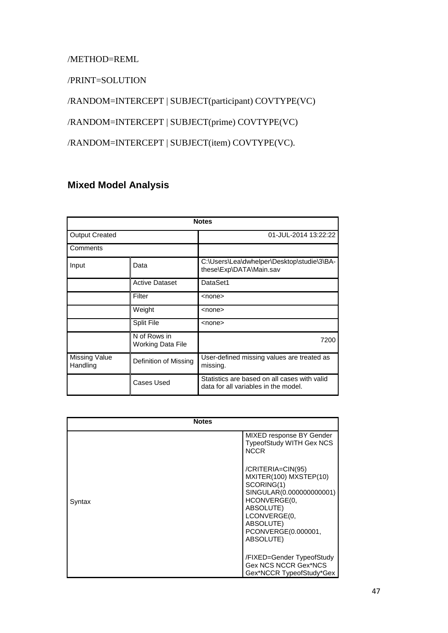### /METHOD=REML

/PRINT=SOLUTION

/RANDOM=INTERCEPT | SUBJECT(participant) COVTYPE(VC)

/RANDOM=INTERCEPT | SUBJECT(prime) COVTYPE(VC)

/RANDOM=INTERCEPT | SUBJECT(item) COVTYPE(VC).

## **Mixed Model Analysis**

|                           | <b>Notes</b>                      |                                                                                      |  |  |  |  |  |
|---------------------------|-----------------------------------|--------------------------------------------------------------------------------------|--|--|--|--|--|
| <b>Output Created</b>     |                                   | 01-JUL-2014 13:22:22                                                                 |  |  |  |  |  |
| Comments                  |                                   |                                                                                      |  |  |  |  |  |
| Input                     | Data                              | C:\Users\Lea\dwhelper\Desktop\studie\3\BA-<br>these\Exp\DATA\Main.sav                |  |  |  |  |  |
|                           | <b>Active Dataset</b>             | DataSet1                                                                             |  |  |  |  |  |
|                           | Filter                            | $none$                                                                               |  |  |  |  |  |
|                           | Weight                            | $nonez$                                                                              |  |  |  |  |  |
|                           | <b>Split File</b>                 | <none></none>                                                                        |  |  |  |  |  |
|                           | N of Rows in<br>Working Data File | 7200                                                                                 |  |  |  |  |  |
| Missing Value<br>Handling | Definition of Missing             | User-defined missing values are treated as<br>missing.                               |  |  |  |  |  |
|                           | Cases Used                        | Statistics are based on all cases with valid<br>data for all variables in the model. |  |  |  |  |  |

| <b>Notes</b> |                                                                                                                                                                                     |
|--------------|-------------------------------------------------------------------------------------------------------------------------------------------------------------------------------------|
|              | MIXED response BY Gender<br>TypeofStudy WITH Gex NCS<br><b>NCCR</b>                                                                                                                 |
| Syntax       | /CRITERIA=CIN(95)<br>MXITER(100) MXSTEP(10)<br>SCORING(1)<br>SINGULAR(0.000000000001)<br>HCONVERGE(0,<br>ABSOLUTE)<br>LCONVERGE(0,<br>ABSOLUTE)<br>PCONVERGE(0.000001,<br>ABSOLUTE) |
|              | /FIXED=Gender TypeofStudy<br>Gex NCS NCCR Gex*NCS<br>Gex*NCCR TypeofStudy*Gex                                                                                                       |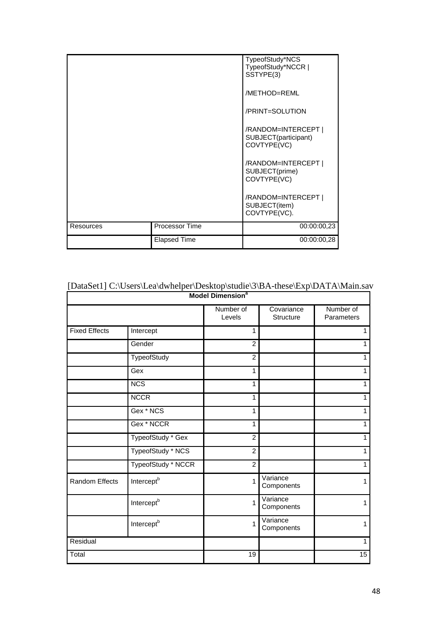|           | TypeofStudy*NCS<br>TypeofStudy*NCCR  <br>SSTYPE(3) |                                                            |
|-----------|----------------------------------------------------|------------------------------------------------------------|
|           |                                                    | /METHOD=REML                                               |
|           |                                                    | /PRINT=SOLUTION                                            |
|           |                                                    | /RANDOM=INTERCEPT  <br>SUBJECT(participant)<br>COVTYPE(VC) |
|           |                                                    | /RANDOM=INTERCEPT  <br>SUBJECT(prime)<br>COVTYPE(VC)       |
|           |                                                    | /RANDOM=INTERCEPT  <br>SUBJECT(item)<br>COVTYPE(VC).       |
| Resources | Processor Time                                     | 00:00:00.23                                                |
|           | <b>Elapsed Time</b>                                | 00:00:00,28                                                |

| <b>Model Dimension<sup>a</sup></b> |                        |                     |                         |                         |  |
|------------------------------------|------------------------|---------------------|-------------------------|-------------------------|--|
|                                    |                        | Number of<br>Levels | Covariance<br>Structure | Number of<br>Parameters |  |
| <b>Fixed Effects</b>               | Intercept              | 1                   |                         | $\overline{1}$          |  |
|                                    | Gender                 | $\overline{2}$      |                         | 1                       |  |
|                                    | TypeofStudy            | $\overline{c}$      |                         | 1                       |  |
|                                    | Gex                    | 1                   |                         | 1                       |  |
|                                    | <b>NCS</b>             | 1                   |                         | $\mathbf{1}$            |  |
|                                    | <b>NCCR</b>            | 1                   |                         | $\mathbf{1}$            |  |
|                                    | Gex * NCS              | 1                   |                         | $\mathbf{1}$            |  |
|                                    | Gex * NCCR             | 1                   |                         | 1                       |  |
|                                    | TypeofStudy * Gex      | $\overline{c}$      |                         | 1                       |  |
|                                    | TypeofStudy * NCS      | $\overline{c}$      |                         | $\mathbf{1}$            |  |
|                                    | TypeofStudy * NCCR     | $\overline{2}$      |                         | $\mathbf{1}$            |  |
| <b>Random Effects</b>              | Intercept <sup>b</sup> | 1                   | Variance<br>Components  | 1                       |  |
|                                    | Intercept <sup>b</sup> | 1                   | Variance<br>Components  | 1                       |  |
|                                    | Intercept <sup>b</sup> | 1                   | Variance<br>Components  | 1                       |  |
| Residual                           |                        |                     |                         | $\mathbf{1}$            |  |
| Total                              |                        | 19                  |                         | 15                      |  |

# [DataSet1] C:\Users\Lea\dwhelper\Desktop\studie\3\BA-these\Exp\DATA\Main.sav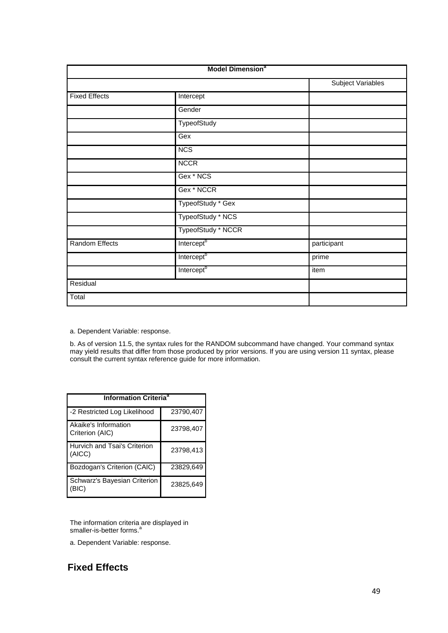| <b>Model Dimension<sup>a</sup></b> |                        |                          |  |
|------------------------------------|------------------------|--------------------------|--|
|                                    |                        | <b>Subject Variables</b> |  |
| <b>Fixed Effects</b>               | Intercept              |                          |  |
|                                    | Gender                 |                          |  |
|                                    | TypeofStudy            |                          |  |
|                                    | Gex                    |                          |  |
|                                    | <b>NCS</b>             |                          |  |
|                                    | <b>NCCR</b>            |                          |  |
|                                    | Gex * NCS              |                          |  |
|                                    | Gex * NCCR             |                          |  |
|                                    | TypeofStudy * Gex      |                          |  |
|                                    | TypeofStudy * NCS      |                          |  |
|                                    | TypeofStudy * NCCR     |                          |  |
| <b>Random Effects</b>              | Intercept <sup>b</sup> | participant              |  |
|                                    | Intercept <sup>b</sup> | prime                    |  |
|                                    | Intercept <sup>b</sup> | item                     |  |
| Residual                           |                        |                          |  |
| Total                              |                        |                          |  |

a. Dependent Variable: response.

b. As of version 11.5, the syntax rules for the RANDOM subcommand have changed. Your command syntax may yield results that differ from those produced by prior versions. If you are using version 11 syntax, please consult the current syntax reference guide for more information.

| <b>Information Criteria<sup>a</sup></b> |           |  |  |  |
|-----------------------------------------|-----------|--|--|--|
| -2 Restricted Log Likelihood            | 23790,407 |  |  |  |
| Akaike's Information<br>Criterion (AIC) | 23798,407 |  |  |  |
| Hurvich and Tsai's Criterion<br>(AICC)  | 23798,413 |  |  |  |
| Bozdogan's Criterion (CAIC)             | 23829,649 |  |  |  |
| Schwarz's Bayesian Criterion<br>(BIC)   | 23825,649 |  |  |  |

The information criteria are displayed in smaller-is-better forms.<sup>a</sup>

a. Dependent Variable: response.

## **Fixed Effects**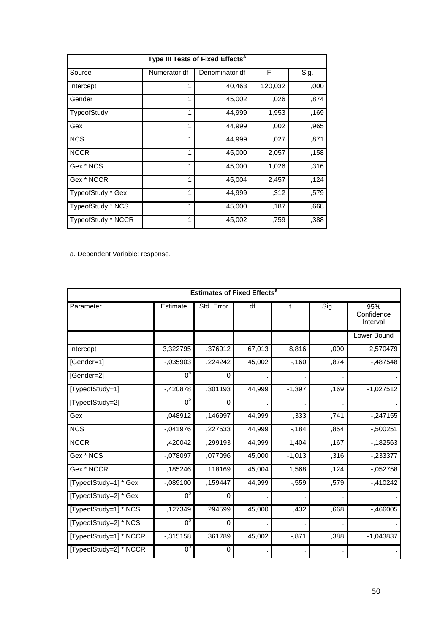| Type III Tests of Fixed Effects <sup>a</sup> |              |                |         |      |  |
|----------------------------------------------|--------------|----------------|---------|------|--|
| Source                                       | Numerator df | Denominator df | F       | Sig. |  |
| Intercept                                    |              | 40,463         | 120,032 | ,000 |  |
| Gender                                       | 1            | 45,002         | ,026    | ,874 |  |
| TypeofStudy                                  |              | 44,999         | 1,953   | ,169 |  |
| Gex                                          | 1            | 44,999         | ,002    | ,965 |  |
| <b>NCS</b>                                   | 1            | 44,999         | ,027    | ,871 |  |
| <b>NCCR</b>                                  | 1            | 45,000         | 2,057   | ,158 |  |
| Gex * NCS                                    |              | 45,000         | 1,026   | ,316 |  |
| Gex * NCCR                                   | 1            | 45,004         | 2,457   | ,124 |  |
| TypeofStudy * Gex                            |              | 44,999         | ,312    | ,579 |  |
| TypeofStudy * NCS                            |              | 45,000         | ,187    | .668 |  |
| TypeofStudy * NCCR                           |              | 45,002         | ,759    | ,388 |  |

a. Dependent Variable: response.

| <b>Estimates of Fixed Effects<sup>a</sup></b> |                |            |        |          |      |                               |
|-----------------------------------------------|----------------|------------|--------|----------|------|-------------------------------|
| Parameter                                     | Estimate       | Std. Error | df     | t        | Sig. | 95%<br>Confidence<br>Interval |
|                                               |                |            |        |          |      | Lower Bound                   |
| Intercept                                     | 3,322795       | ,376912    | 67,013 | 8,816    | ,000 | 2,570479                      |
| [Gender=1]                                    | $-0.035903$    | ,224242    | 45,002 | $-160$   | ,874 | $-0.487548$                   |
| [Gender=2]                                    | 0 <sub>p</sub> | 0          |        |          |      |                               |
| [TypeofStudy=1]                               | $-420878$      | ,301193    | 44,999 | $-1,397$ | ,169 | $-1,027512$                   |
| [TypeofStudy=2]                               | 0 <sub>p</sub> | 0          |        |          |      |                               |
| Gex                                           | ,048912        | ,146997    | 44,999 | ,333     | ,741 | $-247155$                     |
| <b>NCS</b>                                    | $-.041976$     | ,227533    | 44,999 | $-184$   | ,854 | $-0.500251$                   |
| <b>NCCR</b>                                   | ,420042        | ,299193    | 44,999 | 1,404    | ,167 | -,182563                      |
| Gex * NCS                                     | $-.078097$     | ,077096    | 45,000 | $-1,013$ | .316 | $-233377$                     |
| Gex * NCCR                                    | ,185246        | ,118169    | 45,004 | 1,568    | ,124 | $-052758$                     |
| [TypeofStudy=1] * Gex                         | $-.089100$     | ,159447    | 44,999 | $-0.559$ | ,579 | $-410242$                     |
| [TypeofStudy=2] * Gex                         | 0 <sub>p</sub> | 0          |        |          |      |                               |
| [TypeofStudy=1] * NCS                         | ,127349        | ,294599    | 45,000 | ,432     | ,668 | $-0.466005$                   |
| [TypeofStudy=2] * NCS                         | 0 <sub>p</sub> | $\Omega$   |        |          |      |                               |
| [TypeofStudy=1] * NCCR                        | $-0.315158$    | ,361789    | 45,002 | $-0.871$ | ,388 | $-1,043837$                   |
| [TypeofStudy=2] * NCCR                        | 0 <sub>p</sub> | 0          |        |          |      |                               |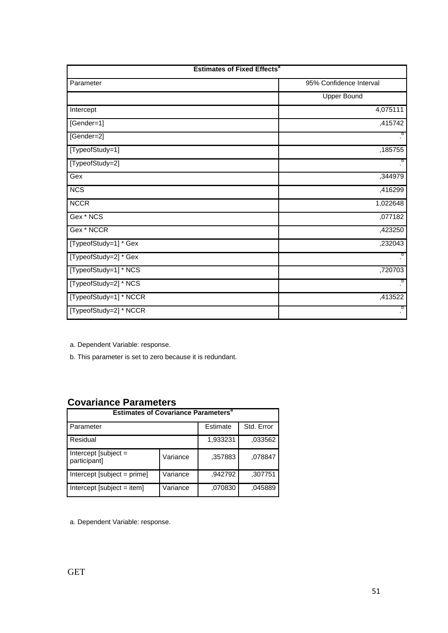| <b>Estimates of Fixed Effects<sup>a</sup></b> |                         |  |  |
|-----------------------------------------------|-------------------------|--|--|
| Parameter                                     | 95% Confidence Interval |  |  |
|                                               | <b>Upper Bound</b>      |  |  |
| Intercept                                     | 4,075111                |  |  |
| [Gender=1]                                    | ,415742                 |  |  |
| [Gender=2]                                    | b                       |  |  |
| [TypeofStudy=1]                               | ,185755                 |  |  |
| [TypeofStudy=2]                               | b                       |  |  |
| Gex                                           | ,344979                 |  |  |
| <b>NCS</b>                                    | ,416299                 |  |  |
| <b>NCCR</b>                                   | 1,022648                |  |  |
| Gex * NCS                                     | ,077182                 |  |  |
| Gex * NCCR                                    | ,423250                 |  |  |
| [TypeofStudy=1] * Gex                         | ,232043                 |  |  |
| [TypeofStudy=2] * Gex                         | þ                       |  |  |
| [TypeofStudy=1] * NCS                         | ,720703                 |  |  |
| [TypeofStudy=2] * NCS                         | þ                       |  |  |
| [TypeofStudy=1] * NCCR                        | ,413522                 |  |  |
| [TypeofStudy=2] * NCCR                        | b.                      |  |  |

a. Dependent Variable: response.

b. This parameter is set to zero because it is redundant.

## **Covariance Parameters**

| <b>Estimates of Covariance Parameters<sup>a</sup></b> |          |          |            |  |
|-------------------------------------------------------|----------|----------|------------|--|
| Parameter                                             |          | Estimate | Std. Error |  |
| Residual                                              |          | 1,933231 | .033562    |  |
| Intercept [subject $=$<br>participant]                | Variance | .357883  | ,078847    |  |
| $Intercept [subject = prime]$                         | Variance | .942792  | .307751    |  |
| Intercept [subject = item]                            | Variance | ,070830  | .045889    |  |

a. Dependent Variable: response.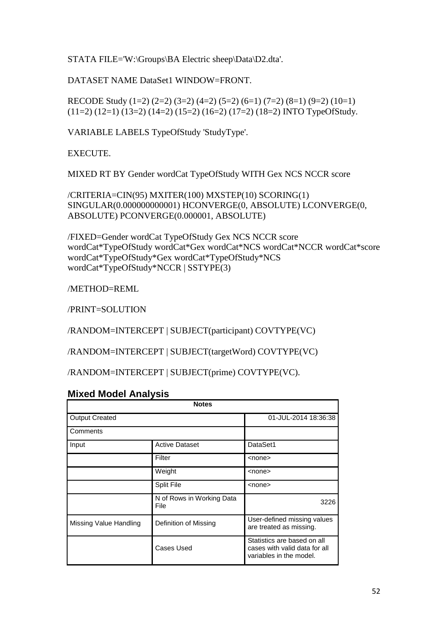STATA FILE='W:\Groups\BA Electric sheep\Data\D2.dta'.

DATASET NAME DataSet1 WINDOW=FRONT.

RECODE Study (1=2) (2=2) (3=2) (4=2) (5=2) (6=1) (7=2) (8=1) (9=2) (10=1)  $(11=2) (12=1) (13=2) (14=2) (15=2) (16=2) (17=2) (18=2)$  INTO TypeOfStudy.

VARIABLE LABELS TypeOfStudy 'StudyType'.

EXECUTE.

MIXED RT BY Gender wordCat TypeOfStudy WITH Gex NCS NCCR score

/CRITERIA=CIN(95) MXITER(100) MXSTEP(10) SCORING(1) SINGULAR(0.000000000001) HCONVERGE(0, ABSOLUTE) LCONVERGE(0, ABSOLUTE) PCONVERGE(0.000001, ABSOLUTE)

/FIXED=Gender wordCat TypeOfStudy Gex NCS NCCR score wordCat\*TypeOfStudy wordCat\*Gex wordCat\*NCS wordCat\*NCCR wordCat\*score wordCat\*TypeOfStudy\*Gex wordCat\*TypeOfStudy\*NCS wordCat\*TypeOfStudy\*NCCR | SSTYPE(3)

/METHOD=REML

/PRINT=SOLUTION

/RANDOM=INTERCEPT | SUBJECT(participant) COVTYPE(VC)

/RANDOM=INTERCEPT | SUBJECT(targetWord) COVTYPE(VC)

/RANDOM=INTERCEPT | SUBJECT(prime) COVTYPE(VC).

### **Mixed Model Analysis**

| <b>Notes</b>                      |                                   |                                                                                         |  |  |
|-----------------------------------|-----------------------------------|-----------------------------------------------------------------------------------------|--|--|
| <b>Output Created</b><br>Comments |                                   | 01-JUL-2014 18:36:38                                                                    |  |  |
|                                   |                                   |                                                                                         |  |  |
| Input                             | <b>Active Dataset</b>             | DataSet1                                                                                |  |  |
|                                   | Filter                            | <none></none>                                                                           |  |  |
|                                   | Weight                            | $none$                                                                                  |  |  |
|                                   | Split File                        | $none$                                                                                  |  |  |
|                                   | N of Rows in Working Data<br>File | 3226                                                                                    |  |  |
| Missing Value Handling            | Definition of Missing             | User-defined missing values<br>are treated as missing.                                  |  |  |
|                                   | Cases Used                        | Statistics are based on all<br>cases with valid data for all<br>variables in the model. |  |  |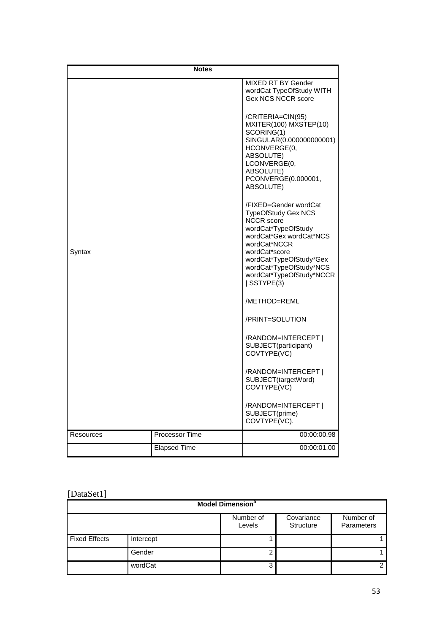| <b>Notes</b> |                       |                                                                                                                                                                                                                                                              |  |
|--------------|-----------------------|--------------------------------------------------------------------------------------------------------------------------------------------------------------------------------------------------------------------------------------------------------------|--|
|              |                       | MIXED RT BY Gender<br>wordCat TypeOfStudy WITH<br><b>Gex NCS NCCR score</b>                                                                                                                                                                                  |  |
|              |                       | /CRITERIA=CIN(95)<br>MXITER(100) MXSTEP(10)<br>SCORING(1)<br>SINGULAR(0.000000000001)<br>HCONVERGE(0,<br>ABSOLUTE)<br>LCONVERGE(0,<br>ABSOLUTE)<br>PCONVERGE(0.000001,<br>ABSOLUTE)                                                                          |  |
| Syntax       |                       | /FIXED=Gender wordCat<br><b>TypeOfStudy Gex NCS</b><br><b>NCCR</b> score<br>wordCat*TypeOfStudy<br>wordCat*Gex wordCat*NCS<br>wordCat*NCCR<br>wordCat*score<br>wordCat*TypeOfStudy*Gex<br>wordCat*TypeOfStudy*NCS<br>wordCat*TypeOfStudy*NCCR<br>  SSTYPE(3) |  |
|              |                       | /METHOD=REML                                                                                                                                                                                                                                                 |  |
|              |                       | /PRINT=SOLUTION                                                                                                                                                                                                                                              |  |
|              |                       | /RANDOM=INTERCEPT  <br>SUBJECT(participant)<br>COVTYPE(VC)                                                                                                                                                                                                   |  |
|              |                       | /RANDOM=INTERCEPT  <br>SUBJECT(targetWord)<br>COVTYPE(VC)                                                                                                                                                                                                    |  |
|              |                       | /RANDOM=INTERCEPT  <br>SUBJECT(prime)<br>COVTYPE(VC).                                                                                                                                                                                                        |  |
| Resources    | <b>Processor Time</b> | 00:00:00,98                                                                                                                                                                                                                                                  |  |
|              | <b>Elapsed Time</b>   | 00:00:01,00                                                                                                                                                                                                                                                  |  |

# [DataSet1]

| <b>Model Dimension<sup>a</sup></b>                                        |           |   |  |   |
|---------------------------------------------------------------------------|-----------|---|--|---|
| Number of<br>Number of<br>Covariance<br>Structure<br>Levels<br>Parameters |           |   |  |   |
| <b>Fixed Effects</b>                                                      | Intercept |   |  |   |
|                                                                           | Gender    |   |  |   |
|                                                                           | wordCat   | 3 |  | ◠ |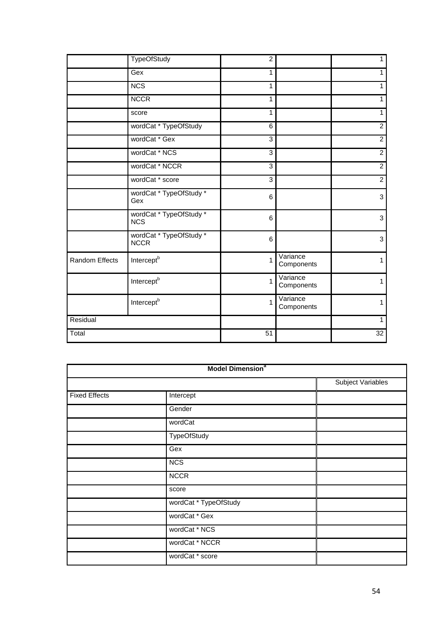|                | <b>TypeOfStudy</b>                     | $\overline{c}$ |                        | $\mathbf{1}$   |
|----------------|----------------------------------------|----------------|------------------------|----------------|
|                | Gex                                    | 1              |                        | 1              |
|                | <b>NCS</b>                             | 1              |                        | $\mathbf{1}$   |
|                | <b>NCCR</b>                            | 1              |                        | $\mathbf{1}$   |
|                | score                                  | 1              |                        | $\mathbf{1}$   |
|                | wordCat * TypeOfStudy                  | 6              |                        | $\overline{2}$ |
|                | wordCat * Gex                          | 3              |                        | $\overline{2}$ |
|                | wordCat * NCS                          | 3              |                        | $\overline{2}$ |
|                | wordCat * NCCR                         | $\mathbf{3}$   |                        | $\overline{2}$ |
|                | wordCat * score                        | $\overline{3}$ |                        | $\overline{2}$ |
|                | wordCat * TypeOfStudy *<br>Gex         | 6              |                        | 3              |
|                | wordCat * TypeOfStudy *<br><b>NCS</b>  | 6              |                        | 3              |
|                | wordCat * TypeOfStudy *<br><b>NCCR</b> | 6              |                        | $\mathbf{3}$   |
| Random Effects | Intercept <sup>b</sup>                 | 1              | Variance<br>Components | $\mathbf{1}$   |
|                | Intercept <sup>b</sup>                 | $\mathbf{1}$   | Variance<br>Components | 1              |
|                | Intercept <sup>b</sup>                 | $\mathbf{1}$   | Variance<br>Components | 1              |
| Residual       |                                        |                |                        | 1              |
| Total          |                                        | 51             |                        | 32             |

| <b>Model Dimension<sup>a</sup></b> |                       |                          |  |  |
|------------------------------------|-----------------------|--------------------------|--|--|
|                                    |                       | <b>Subject Variables</b> |  |  |
| <b>Fixed Effects</b>               | Intercept             |                          |  |  |
|                                    | Gender                |                          |  |  |
|                                    | wordCat               |                          |  |  |
|                                    | <b>TypeOfStudy</b>    |                          |  |  |
|                                    | Gex                   |                          |  |  |
|                                    | <b>NCS</b>            |                          |  |  |
|                                    | <b>NCCR</b>           |                          |  |  |
|                                    | score                 |                          |  |  |
|                                    | wordCat * TypeOfStudy |                          |  |  |
|                                    | wordCat * Gex         |                          |  |  |
|                                    | wordCat * NCS         |                          |  |  |
|                                    | wordCat * NCCR        |                          |  |  |
|                                    | wordCat * score       |                          |  |  |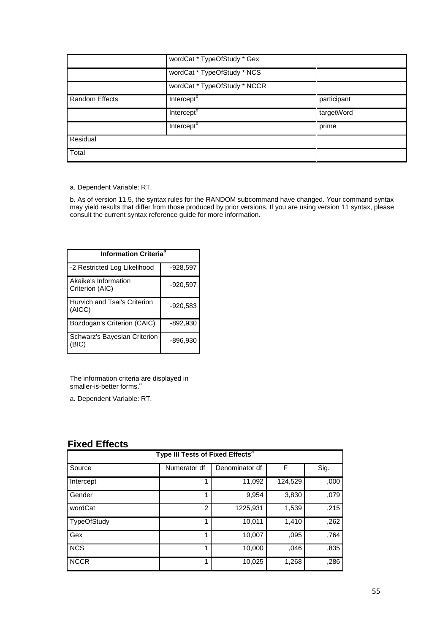|                       | wordCat * TypeOfStudy * Gex  |             |
|-----------------------|------------------------------|-------------|
|                       | wordCat * TypeOfStudy * NCS  |             |
|                       | wordCat * TypeOfStudy * NCCR |             |
| <b>Random Effects</b> | Intercept <sup>b</sup>       | participant |
|                       | Intercept <sup>b</sup>       | targetWord  |
|                       | Intercept <sup>b</sup>       | prime       |
| Residual              |                              |             |
| Total                 |                              |             |

a. Dependent Variable: RT.

b. As of version 11.5, the syntax rules for the RANDOM subcommand have changed. Your command syntax may yield results that differ from those produced by prior versions. If you are using version 11 syntax, please consult the current syntax reference guide for more information.

| <b>Information Criteria<sup>a</sup></b> |            |  |  |  |  |
|-----------------------------------------|------------|--|--|--|--|
| -2 Restricted Log Likelihood            | -928,597   |  |  |  |  |
| Akaike's Information<br>Criterion (AIC) | $-920,597$ |  |  |  |  |
| Hurvich and Tsai's Criterion<br>(AICC)  | $-920,583$ |  |  |  |  |
| Bozdogan's Criterion (CAIC)             | -892,930   |  |  |  |  |
| Schwarz's Bayesian Criterion<br>'BIC)   | $-896,930$ |  |  |  |  |

The information criteria are displayed in smaller-is-better forms.<sup>a</sup>

a. Dependent Variable: RT.

# **Fixed Effects**

| Type III Tests of Fixed Effects <sup>a</sup> |               |                |         |      |  |  |
|----------------------------------------------|---------------|----------------|---------|------|--|--|
| Source                                       | Numerator df  | Denominator df | F       | Sig. |  |  |
| Intercept                                    |               | 11,092         | 124,529 | ,000 |  |  |
| Gender                                       |               | 9,954          | 3,830   | ,079 |  |  |
| wordCat                                      | $\mathcal{P}$ | 1225,931       | 1,539   | ,215 |  |  |
| <b>TypeOfStudy</b>                           |               | 10,011         | 1,410   | ,262 |  |  |
| Gex                                          |               | 10,007         | ,095    | ,764 |  |  |
| <b>NCS</b>                                   |               | 10,000         | .046    | ,835 |  |  |
| <b>NCCR</b>                                  |               | 10,025         | 1,268   | ,286 |  |  |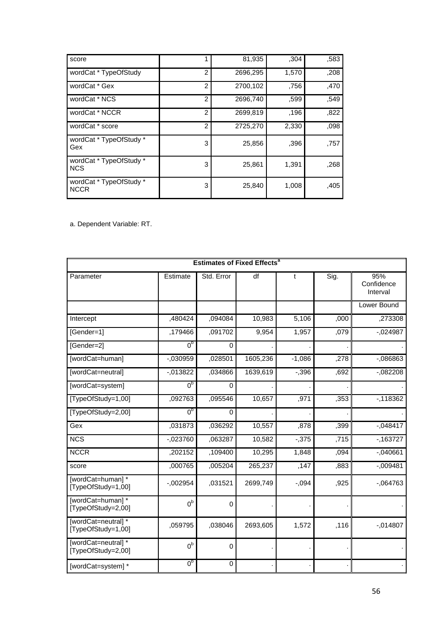| score                                  |                | 81,935   | ,304  | ,583 |
|----------------------------------------|----------------|----------|-------|------|
| wordCat * TypeOfStudy                  | $\mathfrak{p}$ | 2696,295 | 1,570 | ,208 |
| wordCat * Gex                          | $\mathcal{P}$  | 2700,102 | .756  | ,470 |
| wordCat * NCS                          | $\overline{c}$ | 2696,740 | .599  | .549 |
| wordCat * NCCR                         | $\mathcal{P}$  | 2699,819 | .196  | ,822 |
| wordCat * score                        | $\mathcal{P}$  | 2725,270 | 2,330 | .098 |
| wordCat * TypeOfStudy *<br>Gex         | 3              | 25,856   | .396  | .757 |
| wordCat * TypeOfStudy *<br><b>NCS</b>  | 3              | 25,861   | 1,391 | .268 |
| wordCat * TypeOfStudy *<br><b>NCCR</b> | 3              | 25,840   | 1,008 | .405 |

a. Dependent Variable: RT.

|                                          | <b>Estimates of Fixed Effects<sup>a</sup></b> |             |          |          |       |                               |
|------------------------------------------|-----------------------------------------------|-------------|----------|----------|-------|-------------------------------|
| Parameter                                | Estimate                                      | Std. Error  | df       | t        | Sig.  | 95%<br>Confidence<br>Interval |
|                                          |                                               |             |          |          |       | Lower Bound                   |
| Intercept                                | ,480424                                       | ,094084     | 10,983   | 5,106    | ,000  | ,273308                       |
| [Gender=1]                               | ,179466                                       | ,091702     | 9,954    | 1,957    | ,079  | $-0.024987$                   |
| [Gender=2]                               | 0 <sub>p</sub>                                | 0           |          |          |       |                               |
| [wordCat=human]                          | $-030959$                                     | ,028501     | 1605,236 | $-1,086$ | ,278  | $-086863$                     |
| [wordCat=neutral]                        | $-013822$                                     | ,034866     | 1639,619 | $-0.396$ | ,692  | $-082208$                     |
| [wordCat=system]                         | 0 <sub>p</sub>                                | 0           |          |          |       |                               |
| [TypeOfStudy=1,00]                       | ,092763                                       | ,095546     | 10,657   | ,971     | , 353 | $-118362$                     |
| [TypeOfStudy=2,00]                       | 0 <sub>p</sub>                                | 0           |          |          |       |                               |
| Gex                                      | ,031873                                       | ,036292     | 10,557   | ,878     | ,399  | $-0.048417$                   |
| <b>NCS</b>                               | $-023760$                                     | ,063287     | 10,582   | $-0.375$ | ,715  | $-163727$                     |
| <b>NCCR</b>                              | ,202152                                       | ,109400     | 10,295   | 1,848    | ,094  | $-.040661$                    |
| score                                    | ,000765                                       | ,005204     | 265,237  | ,147     | ,883  | $-.009481$                    |
| [wordCat=human]*<br>[TypeOfStudy=1,00]   | $-002954$                                     | ,031521     | 2699,749 | $-0.094$ | ,925  | $-064763$                     |
| [wordCat=human]*<br>[TypeOfStudy=2,00]   | 0 <sup>b</sup>                                | $\Omega$    |          |          |       |                               |
| [wordCat=neutral]*<br>[TypeOfStudy=1,00] | ,059795                                       | ,038046     | 2693,605 | 1,572    | ,116  | $-014807$                     |
| [wordCat=neutral]*<br>[TypeOfStudy=2,00] | 0 <sup>b</sup>                                | $\mathbf 0$ |          |          |       |                               |
| [wordCat=system] *                       | 0 <sub>p</sub>                                | 0           |          |          |       |                               |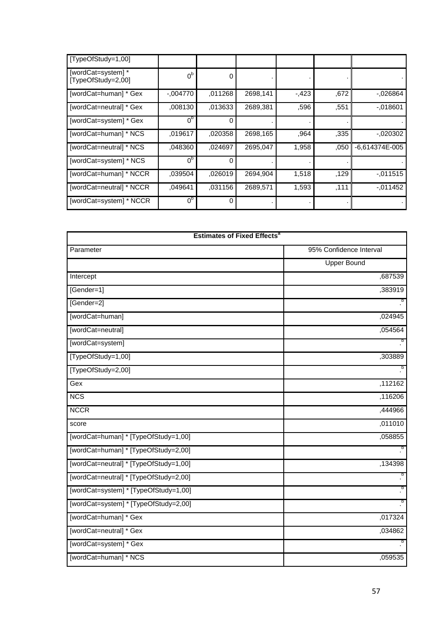| [TypeOfStudy=1,00]                       |                |         |          |        |      |                  |
|------------------------------------------|----------------|---------|----------|--------|------|------------------|
| [wordCat=system] *<br>[TypeOfStudy=2,00] | $0^{\rm b}$    | 0       |          |        |      |                  |
| [wordCat=human] * Gex                    | $-.004770$     | ,011268 | 2698,141 | $-423$ | ,672 | $-0.026864$      |
| [wordCat=neutral] * Gex                  | ,008130        | .013633 | 2689,381 | ,596   | ,551 | $-0.018601$      |
| [wordCat=system] * Gex                   | 0 <sub>p</sub> | 0       |          |        |      |                  |
| [wordCat=human] * NCS                    | ,019617        | .020358 | 2698,165 | .964   | .335 | $-0.020302$      |
| [wordCat=neutral] * NCS                  | .048360        | ,024697 | 2695,047 | 1,958  | .050 | $-6,614374E-005$ |
| [wordCat=system] * NCS                   | 0 <sup>b</sup> | 0       |          |        |      |                  |
| [wordCat=human] * NCCR                   | .039504        | ,026019 | 2694,904 | 1,518  | .129 | $-0.011515$      |
| [wordCat=neutral] * NCCR                 | .049641        | .031156 | 2689,571 | 1,593  | ,111 | $-011452$        |
| [wordCat=system] * NCCR                  | 0 <sup>b</sup> | 0       |          |        |      |                  |

| <b>Estimates of Fixed Effects<sup>a</sup></b> |                         |  |  |  |
|-----------------------------------------------|-------------------------|--|--|--|
| Parameter                                     | 95% Confidence Interval |  |  |  |
|                                               | <b>Upper Bound</b>      |  |  |  |
| Intercept                                     | ,687539                 |  |  |  |
| [Gender=1]                                    | ,383919                 |  |  |  |
| [Gender=2]                                    | þ                       |  |  |  |
| [wordCat=human]                               | ,024945                 |  |  |  |
| [wordCat=neutral]                             | ,054564                 |  |  |  |
| [wordCat=system]                              | þ                       |  |  |  |
| [TypeOfStudy=1,00]                            | ,303889                 |  |  |  |
| [TypeOfStudy=2,00]                            | þ                       |  |  |  |
| Gex                                           | ,112162                 |  |  |  |
| <b>NCS</b>                                    | ,116206                 |  |  |  |
| <b>NCCR</b>                                   | ,444966                 |  |  |  |
| score                                         | ,011010                 |  |  |  |
| [wordCat=human] * [TypeOfStudy=1,00]          | ,058855                 |  |  |  |
| [wordCat=human] * [TypeOfStudy=2,00]          | b                       |  |  |  |
| [wordCat=neutral] * [TypeOfStudy=1,00]        | ,134398                 |  |  |  |
| [wordCat=neutral] * [TypeOfStudy=2,00]        | þ                       |  |  |  |
| [wordCat=system] * [TypeOfStudy=1,00]         | b                       |  |  |  |
| [wordCat=system] * [TypeOfStudy=2,00]         | þ                       |  |  |  |
| [wordCat=human] * Gex                         | ,017324                 |  |  |  |
| [wordCat=neutral] * Gex                       | ,034862                 |  |  |  |
| [wordCat=system] * Gex                        | .<br>.                  |  |  |  |
| [wordCat=human] * NCS                         | ,059535                 |  |  |  |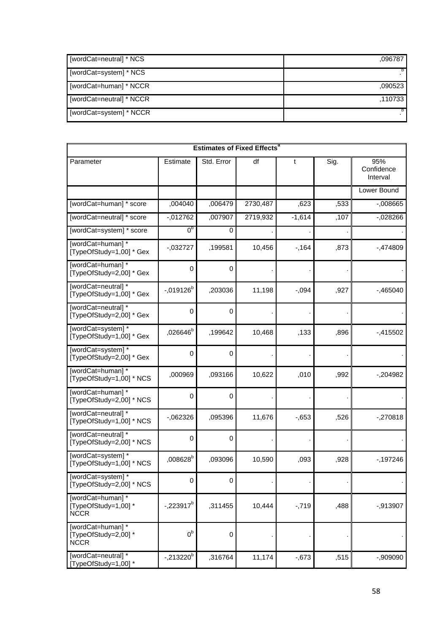| [wordCat=neutral] * NCS  | .096787 |
|--------------------------|---------|
| [wordCat=system] * NCS   |         |
| [wordCat=human] * NCCR   | .090523 |
| [wordCat=neutral] * NCCR | .110733 |
| [wordCat=system] * NCCR  |         |

| <b>Estimates of Fixed Effects<sup>a</sup></b>            |                      |                  |          |          |      |                               |
|----------------------------------------------------------|----------------------|------------------|----------|----------|------|-------------------------------|
| Parameter                                                | Estimate             | Std. Error       | df       | t        | Sig. | 95%<br>Confidence<br>Interval |
|                                                          |                      |                  |          |          |      | Lower Bound                   |
| [wordCat=human] * score                                  | ,004040              | ,006479          | 2730,487 | ,623     | ,533 | $-0.008665$                   |
| [wordCat=neutral] * score                                | $-012762$            | ,007907          | 2719,932 | $-1,614$ | ,107 | $-0.028266$                   |
| [wordCat=system] * score                                 | 0 <sub>p</sub>       | 0                |          |          |      |                               |
| [wordCat=human]*<br>[TypeOfStudy=1,00] * Gex             | $-032727$            | ,199581          | 10,456   | $-164$   | ,873 | -,474809                      |
| [wordCat=human]*<br>[TypeOfStudy=2,00] * Gex             | 0                    | 0                |          |          |      |                               |
| [wordCat=neutral] *<br>[TypeOfStudy=1,00] * Gex          | $-0.019126^{b}$      | ,203036          | 11,198   | $-0.094$ | ,927 | $-0.465040$                   |
| [wordCat=neutral]*<br>[TypeOfStudy=2,00] * Gex           | 0                    | 0                |          |          |      |                               |
| [wordCat=system] *<br>TypeOfStudy=1,00] * Gex            | ,026646 <sup>b</sup> | ,199642          | 10,468   | ,133     | ,896 | $-415502$                     |
| [wordCat=system]*<br>TypeOfStudy=2,00] * Gex             | $\mathbf 0$          | $\mathbf 0$      |          |          |      |                               |
| [wordCat=human]*<br>TypeOfStudy=1,00] * NCS              | ,000969              | ,093166          | 10,622   | ,010     | ,992 | -,204982                      |
| [wordCat=human]*<br>[TypeOfStudy=2,00] * NCS             | 0                    | 0                |          |          |      |                               |
| [wordCat=neutral]*<br>[TypeOfStudy=1,00] * NCS           | $-062326$            | ,095396          | 11,676   | $-0.653$ | ,526 | $-270818$                     |
| [wordCat=neutral] *<br>[TypeOfStudy=2,00] * NCS          | 0                    | 0                |          |          |      |                               |
| [wordCat=system] *<br>[TypeOfStudy=1,00] * NCS           | $,008628^{\rm b}$    | ,093096          | 10,590   | ,093     | ,928 | $-197246$                     |
| [wordCat=system]*<br>[TypeOfStudy=2,00] * NCS            | 0                    | 0                |          |          |      |                               |
| [wordCat=human]*<br>[TypeOfStudy=1,00] *<br><b>NCCR</b>  | $-223917^{b}$        | ,311455          | 10,444   | $-719$   | ,488 | $-0.913907$                   |
| [wordCat=human] *<br>[TypeOfStudy=2,00] *<br><b>NCCR</b> | $0^{\rm b}$          | $\boldsymbol{0}$ |          |          |      |                               |
| [wordCat=neutral]*<br>TypeOfStudy=1,00]*                 | $-.213220^{b}$       | ,316764          | 11,174   | $-0.673$ | ,515 | $-0.909090$                   |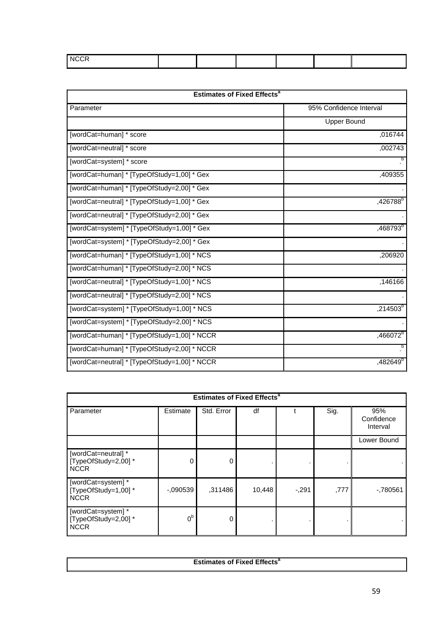| <b>NCCR</b> |  |  |  |
|-------------|--|--|--|
|             |  |  |  |

| <b>Estimates of Fixed Effects<sup>a</sup></b> |                         |  |  |  |
|-----------------------------------------------|-------------------------|--|--|--|
| Parameter                                     | 95% Confidence Interval |  |  |  |
|                                               | <b>Upper Bound</b>      |  |  |  |
| [wordCat=human] * score                       | ,016744                 |  |  |  |
| [wordCat=neutral] * score                     | ,002743                 |  |  |  |
| [wordCat=system] * score                      |                         |  |  |  |
| [wordCat=human] * [TypeOfStudy=1,00] * Gex    | ,409355                 |  |  |  |
| [wordCat=human] * [TypeOfStudy=2,00] * Gex    |                         |  |  |  |
| [wordCat=neutral] * [TypeOfStudy=1,00] * Gex  | ,426788 <sup>b</sup>    |  |  |  |
| [wordCat=neutral] * [TypeOfStudy=2,00] * Gex  |                         |  |  |  |
| [wordCat=system] * [TypeOfStudy=1,00] * Gex   | ,468793 <sup>b</sup>    |  |  |  |
| [wordCat=system] * [TypeOfStudy=2,00] * Gex   |                         |  |  |  |
| [wordCat=human] * [TypeOfStudy=1,00] * NCS    | ,206920                 |  |  |  |
| [wordCat=human] * [TypeOfStudy=2,00] * NCS    |                         |  |  |  |
| [wordCat=neutral] * [TypeOfStudy=1,00] * NCS  | ,146166                 |  |  |  |
| [wordCat=neutral] * [TypeOfStudy=2,00] * NCS  |                         |  |  |  |
| [wordCat=system] * [TypeOfStudy=1,00] * NCS   | $,214503^b$             |  |  |  |
| [wordCat=system] * [TypeOfStudy=2,00] * NCS   |                         |  |  |  |
| [wordCat=human] * [TypeOfStudy=1,00] * NCCR   | $,466072^b$             |  |  |  |
| [wordCat=human] * [TypeOfStudy=2,00] * NCCR   |                         |  |  |  |
| [wordCat=neutral] * [TypeOfStudy=1,00] * NCCR | ,482649 <sup>b</sup>    |  |  |  |

| <b>Estimates of Fixed Effects<sup>a</sup></b>              |                |            |        |        |      |                               |  |  |
|------------------------------------------------------------|----------------|------------|--------|--------|------|-------------------------------|--|--|
| Parameter                                                  | Estimate       | Std. Error | df     |        | Sig. | 95%<br>Confidence<br>Interval |  |  |
|                                                            |                |            |        |        |      | Lower Bound                   |  |  |
| [wordCat=neutral] *<br>[TypeOfStudy=2,00] *<br><b>NCCR</b> | 0              | 0          |        |        |      |                               |  |  |
| [wordCat=system] *<br>[TypeOfStudy=1,00]*<br><b>NCCR</b>   | $-0.090539$    | ,311486    | 10,448 | $-291$ | ,777 | $-780561$                     |  |  |
| [wordCat=system] *<br>[TypeOfStudy=2,00] *<br><b>NCCR</b>  | 0 <sup>b</sup> | 0          |        |        |      |                               |  |  |

| <b>Estimates of Fixed Effects</b> |
|-----------------------------------|
|                                   |